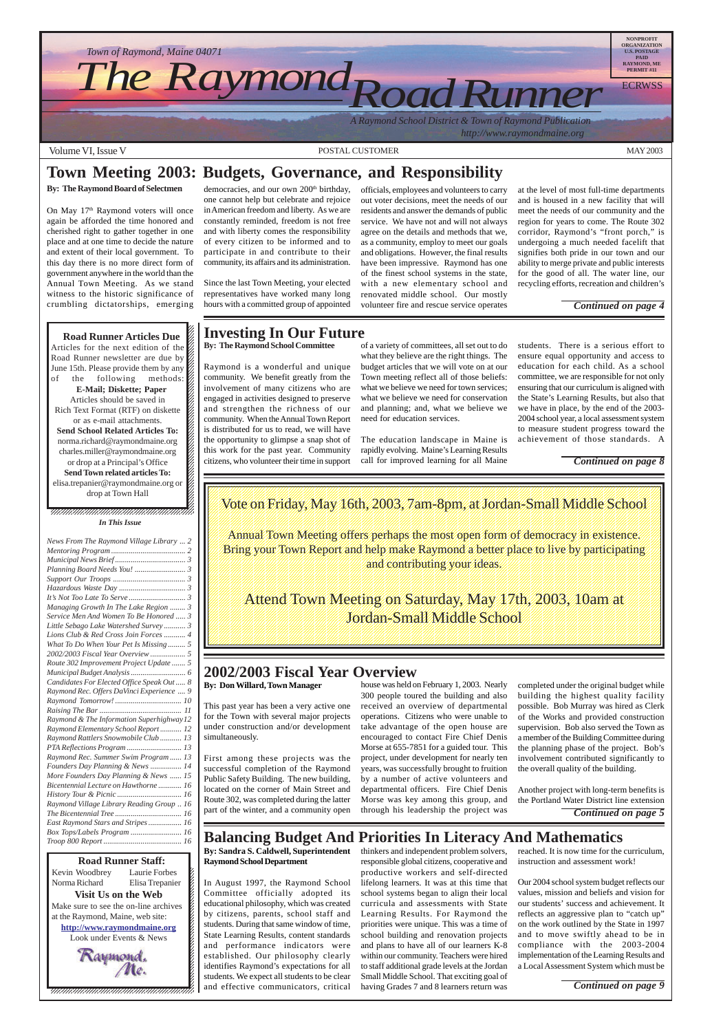**12345678012345681890123456789121234567890121234567890123456789012345678901234567890123456789012345678789012345678901234567890123456789012345678901234567890123456789012345678901234567890123456789012345678901234567890123456** 12345678901234567890123456789012123456789012345678 Kevin Woodbrey Laurie Forbes  $\cancel{\epsilon}$ Norma Richard Elisa Trepanier 12345678901234567890123456789012123456789012345678 **Visit Us on the Web**  $\blacksquare$ Make sure to see the on-line archives  $\mathcal{L}$ 12345678901234567890123456789012123456789012345678 at the Raymond, Maine, web site:  $\mathcal{L}$ **http://www.raymondmaine.org** 12345678901234567890123456789012123456789012345678 Look under Events  $&$  News  $\begin{bmatrix} \epsilon \end{bmatrix}$ 12345678901234567890123456789012123456789012345678 12345678901234567890123456789012123456789012345678



Volume VI, Issue V and MAY 2003 CONSTAL CUSTOMER And MAY 2003



On May 17<sup>th</sup> Raymond voters will once again be afforded the time honored and cherished right to gather together in one place and at one time to decide the nature and extent of their local government. To this day there is no more direct form of government anywhere in the world than the Annual Town Meeting. As we stand witness to the historic significance of crumbling dictatorships, emerging

democracies, and our own 200<sup>th</sup> birthday, one cannot help but celebrate and rejoice in American freedom and liberty. As we are constantly reminded, freedom is not free and with liberty comes the responsibility of every citizen to be informed and to participate in and contribute to their community, its affairs and its administration.

## **Town Meeting 2003: Budgets, Governance, and Responsibility**

#### **By: The Raymond Board of Selectmen**

Annual Town Meeting offers perhaps the most open form of democracy in existence. 123456789012345678901234567890121234567890123456789012345678901212345678901234567890123456789012123456789012345678901234567890121234567890123456789012345678 Bring your Town Report and help make Raymond a better place to live by participating 123456789012345678901234567890121234567890123456789012345678901212345678901234567890123456789012123456789012345678901234567890121234567890123456789012345678 123456789012345678901234567890121234567890123456789012345678901212345678901234567890123456789012123456789012345678901234567890121234567890123456789012345678 1 8 1 8 and contributing your ideas. 123456789012345678901234567890121234567890123456789012345678901212345678901234567890123456789012123456789012345678901234567890121234567890123456789012345678

Since the last Town Meeting, your elected representatives have worked many long hours with a committed group of appointed

## **Investing In Our Future**

**By: The Raymond School Committee**

Raymond is a wonderful and unique community. We benefit greatly from the involvement of many citizens who are engaged in activities designed to preserve and strengthen the richness of our community. When the Annual Town Report is distributed for us to read, we will have the opportunity to glimpse a snap shot of this work for the past year. Community citizens, who volunteer their time in support of a variety of committees, all set out to do what they believe are the right things. The budget articles that we will vote on at our Town meeting reflect all of those beliefs: what we believe we need for town services; what we believe we need for conservation and planning; and, what we believe we need for education services.

Attend Town Meeting on Saturday, May 17th, 2003, 10am at 123456789012345678901234567890121234567890123456789012345678901212345678901234567890123456789012123456789012345678901234567890121234567890123456789012345678 123456789012345678901234567890121234567890123456789012345678901212345678901234567890123456789012123456789012345678901234567890121234567890123456789012345678 **Sordan Small Middle School Middle School All Middle** 123456789012345678901234567890121234567890123456789012345678901212345678901234567890123456789012123456789012345678901234567890121234567890123456789012345678

The education landscape in Maine is rapidly evolving. Maine's Learning Results call for improved learning for all Maine

officials, employees and volunteers to carry out voter decisions, meet the needs of our residents and answer the demands of public service. We have not and will not always agree on the details and methods that we, as a community, employ to meet our goals and obligations. However, the final results have been impressive. Raymond has one of the finest school systems in the state, with a new elementary school and renovated middle school. Our mostly volunteer fire and rescue service operates

at the level of most full-time departments and is housed in a new facility that will meet the needs of our community and the region for years to come. The Route 302 corridor, Raymond's "front porch," is undergoing a much needed facelift that signifies both pride in our town and our ability to merge private and public interests for the good of all. The water line, our recycling efforts, recreation and children's

students. There is a serious effort to ensure equal opportunity and access to education for each child. As a school committee, we are responsible for not only ensuring that our curriculum is aligned with the State's Learning Results, but also that we have in place, by the end of the 2003- 2004 school year, a local assessment system to measure student progress toward the achievement of those standards. A

*Continued on page 4*

#### 12345678901234567890123456789012345678901234567890123456789012345678901234567890123456789012345678901234567890 12345678901234567890123456789012123456789012345678 12345678901234567890123456789012123456789012345678 12345678901234567890123456789012123456789012345678 **Road Runner Articles Due**

Articles for the next edition of the  $\mathbb Z$ Road Runner newsletter are due by  $123458789$ June 15th. Please provide them by any  $\mathscr{L}$ of the following methods: **E-Mail; Diskette; Paper** Articles should be saved in Rich Text Format (RTF) on diskette  $\%$  $1235678901234567890123456789012345678901234567890123456789012345678901234567890123456789012345678901234567890123456789012345678901234567890123456789012345678901234567890123456789012345678901234567890123456789012345678901$ or as e-mail attachments.  $\%$  $1235678901234567890123456789012345678901234567890123456789012345678901234567890123456789012345678901234567890123456789012345678901234567890123456789012345678901234567890123456789012345678901234567890123456789012345678901$ **Send School Related Articles To:**  $1235678901234567890123456789012345678901234567890123456789012345678901234567890123456789012345678901234567890123456789012345678901234567890123456789012345678901234567890123456789012345678901234567890123456789012345678901$ norma.richard@raymondmaine.org charles.miller@raymondmaine.org or drop at a Principal's Office  $\mathscr{L}$ **Send Town related articles To:** elisa.trepanier@raymondmaine.org or  $\mathscr{D}$  $1235678901234567890123456789012345678901234567890123456789012345678901234567890123456789012345678901234567890123456789012345678901234567890123456789012345678901234567890123456789012345678901234567890123456789012345678901$  $\frac{1}{2}$  drop at Town Hall

*Continued on page 8*

 $1235678901234567890123456789012345678901234567890123456789012345678901234567890123456789012345678901234567890123456789012345678901234567890123456789012345678901234567890123456789012345678901234567890123456789012345678901$  $1235678901234567890123456789012345678901234567890123456789012345678901234567890123456789012345678901234567890123456789012345678901234567890123456789012345678901234567890123456789012345678901234567890123456789012345678901$  $\blacksquare$ 12345678901234567890123456789012123456789012345678 12345678901234567890123456789012123456789012345678 *In This Issue*

123456789012345678901234567890121234567890123456789012345678901212345678901234567890123456789012123456789012345678901234567890121234567890123456789012345678 1 8 1 8 Note on Friday, May 16th, 2003, Jam-8pm, at Jordan-Small Middle School 123456789012345678901234567890121234567890123456789012345678901212345678901234567890123456789012123456789012345678901234567890121234567890123456789012345678 123456789012345678901234567890121234567890123456789012345678901212345678901234567890123456789012123456789012345678901234567890121234567890123456789012345678 1 8

123456789012345678901234567890121234567890123456789012345678901212345678901234567890123456789012123456789012345678901234567890121234567890123456789012345678 123456789012345678901234567890121234567890123456789012345678901212345678901234567890123456789012123456789012345678901234567890121234567890123456789012345678 123456789012345678901234567890121234567890123456789012345678901212345678901234567890123456789012123456789012345678901234567890121234567890123456789012345678

123456789012345678901234567890121234567890123456789012345678901212345678901234567890123456789012123456789012345678901234567890121234567890123456789012345678 123456789012345678901234567890121234567890123456789012345678901212345678901234567890123456789012123456789012345678901234567890121234567890123456789012345678 1 8 123456789012345678901234567890121234567890123456789012345678901212345678901234567890123456789012123456789012345678901234567890121234567890123456789012345678 123456789012345678901234567890121234567890123456789012345678901212345678901234567890123456789012123456789012345678901234567890121234567890123456789012345678 123456789012345678901234567890121234567890123456789012345678901212345678901234567890123456789012123456789012345678901234567890121234567890123456789012345678

123456789012345678901234567890121234567890123456789012345678901212345678901234567890123456789012123456789012345678901234567890121234567890123456789012345678 123456789012345678901234567890121234567890123456789012345678901212345678901234567890123456789012123456789012345678901234567890121234567890123456789012345678 123456789012345678901234567890121234567890123456789012345678901212345678901234567890123456789012123456789012345678901234567890121234567890123456789012345678 123456789012345678901234567890121234567890123456789012345678901212345678901234567890123456789012123456789012345678901234567890121234567890123456789012345678 1 8 123456789012345678901234567890121234567890123456789012345678901212345678901234567890123456789012123456789012345678901234567890121234567890123456789012345678

## **2002/2003 Fiscal Year Overview**

**By: Don Willard, Town Manager**

This past year has been a very active one for the Town with several major projects under construction and/or development simultaneously.

First among these projects was the successful completion of the Raymond Public Safety Building. The new building, located on the corner of Main Street and Route 302, was completed during the latter part of the winter, and a community open

house was held on February 1, 2003. Nearly 300 people toured the building and also received an overview of departmental operations. Citizens who were unable to take advantage of the open house are encouraged to contact Fire Chief Denis Morse at 655-7851 for a guided tour. This project, under development for nearly ten years, was successfully brought to fruition by a number of active volunteers and

departmental officers. Fire Chief Denis Morse was key among this group, and through his leadership the project was

completed under the original budget while building the highest quality facility possible. Bob Murray was hired as Clerk of the Works and provided construction supervision. Bob also served the Town as a member of the Building Committee during the planning phase of the project. Bob's involvement contributed significantly to the overall quality of the building.

Another project with long-term benefits is the Portland Water District line extension

## **Balancing Budget And Priorities In Literacy And Mathematics**

**By: Sandra S. Caldwell, Superintendent Raymond School Department**

In August 1997, the Raymond School Committee officially adopted its educational philosophy, which was created by citizens, parents, school staff and students. During that same window of time, State Learning Results, content standards and performance indicators were established. Our philosophy clearly identifies Raymond's expectations for all students. We expect all students to be clear and effective communicators, critical

thinkers and independent problem solvers, responsible global citizens, cooperative and productive workers and self-directed lifelong learners. It was at this time that school systems began to align their local curricula and assessments with State Learning Results. For Raymond the priorities were unique. This was a time of school building and renovation projects and plans to have all of our learners K-8 within our community. Teachers were hired to staff additional grade levels at the Jordan Small Middle School. That exciting goal of having Grades 7 and 8 learners return was

reached. It is now time for the curriculum, instruction and assessment work!

Our 2004 school system budget reflects our values, mission and beliefs and vision for our students' success and achievement. It reflects an aggressive plan to "catch up" on the work outlined by the State in 1997 and to move swiftly ahead to be in compliance with the 2003-2004 implementation of the Learning Results and a Local Assessment System which must be

*Continued on page 5*

*Continued on page 9*

| News From The Raymond Village Library  2  |  |
|-------------------------------------------|--|
|                                           |  |
|                                           |  |
|                                           |  |
|                                           |  |
|                                           |  |
|                                           |  |
| Managing Growth In The Lake Region  3     |  |
| Service Men And Women To Be Honored  3    |  |
| Little Sebago Lake Watershed Survey 3     |  |
| Lions Club & Red Cross Join Forces  4     |  |
| What To Do When Your Pet Is Missing 5     |  |
| 2002/2003 Fiscal Year Overview 5          |  |
| Route 302 Improvement Project Update  5   |  |
|                                           |  |
| Candidates For Elected Office Speak Out 8 |  |
| Raymond Rec. Offers DaVinci Experience  9 |  |
|                                           |  |
|                                           |  |
| Raymond & The Information Superhighway 12 |  |
| Raymond Elementary School Report  12      |  |
| Raymond Rattlers Snowmobile Club  13      |  |
| PTA Reflections Program  13               |  |
| Raymond Rec. Summer Swim Program  13      |  |
| Founders Day Planning & News  14          |  |
| More Founders Day Planning & News  15     |  |

| Bicentennial Lecture on Hawthorne  16     |
|-------------------------------------------|
|                                           |
| Raymond Village Library Reading Group  16 |
|                                           |
| East Raymond Stars and Stripes  16        |
| Box Tops/Labels Program  16               |
|                                           |
|                                           |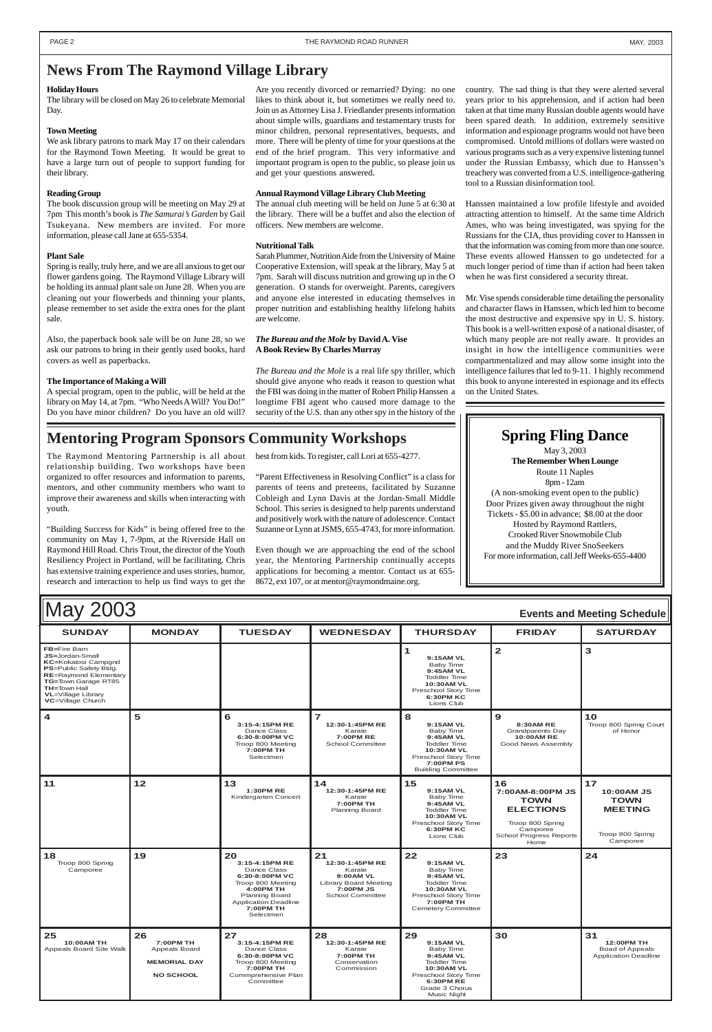| May 2003<br><b>Events and Meeting Schedule</b>                                                                                                                                                                                  |                                                                             |                                                                                                                                                                                  |                                                                                                                      |                                                                                                                                                                           |                                                                                                                                     |                                                                                   |
|---------------------------------------------------------------------------------------------------------------------------------------------------------------------------------------------------------------------------------|-----------------------------------------------------------------------------|----------------------------------------------------------------------------------------------------------------------------------------------------------------------------------|----------------------------------------------------------------------------------------------------------------------|---------------------------------------------------------------------------------------------------------------------------------------------------------------------------|-------------------------------------------------------------------------------------------------------------------------------------|-----------------------------------------------------------------------------------|
| <b>SUNDAY</b>                                                                                                                                                                                                                   | <b>MONDAY</b>                                                               | <b>TUESDAY</b>                                                                                                                                                                   | <b>WEDNESDAY</b>                                                                                                     | <b>THURSDAY</b>                                                                                                                                                           | <b>FRIDAY</b>                                                                                                                       | <b>SATURDAY</b>                                                                   |
| <b>FB=Fire Barn</b><br>JS=Jordan-Small<br><b>KC=Kokatosi Campgnd</b><br>PS=Public Safety Bldg.<br><b>RE=Raymond Elementary</b><br>TG=Town Garage RT85<br><b>TH=Town Hall</b><br><b>VL</b> =Village Library<br>VC=Village Church |                                                                             |                                                                                                                                                                                  |                                                                                                                      | 1<br>9:15AM VL<br>Baby Time<br>9:45AM VL<br><b>Toddler Time</b><br>10:30AM VL<br>Preschool Story Time<br>6:30PM KC<br>Lions Club                                          | $\overline{\mathbf{2}}$                                                                                                             | 3                                                                                 |
| 4                                                                                                                                                                                                                               | 5                                                                           | 6<br>3:15-4:15PM RE<br>Dance Class<br>6:30-8:00PM VC<br>Troop 800 Meeting<br>7:00PM TH<br>Selectmen                                                                              | $\overline{ }$<br>12:30-1:45PM RE<br>Karate<br>7:00PM RE<br><b>School Committee</b>                                  | 8<br>9:15AM VL<br><b>Baby Time</b><br>9:45AM VL<br><b>Toddler Time</b><br>10:30AM VL<br>Preschool Story Time<br><b>7:00PM PS</b><br><b>Building Committee</b>             | 9<br>8:30AM RE<br>Grandparents Day<br>10:00AM RE<br>Good News Assembly                                                              | 10<br>Troop 800 Spring Court<br>of Honor                                          |
| 11                                                                                                                                                                                                                              | 12                                                                          | 13<br><b>1:30PM RE</b><br>Kindergarten Concert                                                                                                                                   | 14<br>12:30-1:45PM RE<br>Karate<br>7:00PM TH<br><b>Planning Board</b>                                                | 15<br>9:15AM VL<br>Baby Time<br>9:45AM VL<br><b>Toddler Time</b><br><b>10:30AM VL</b><br>Preschool Story Time<br>6:30PM KC<br>Lions Club                                  | 16<br>7:00AM-8:00PM JS<br><b>TOWN</b><br><b>ELECTIONS</b><br>Troop 800 Spring<br>Camporee<br><b>School Progress Reports</b><br>Home | 17<br>10:00AM JS<br><b>TOWN</b><br><b>MEETING</b><br>Troop 800 Spring<br>Camporee |
| 18<br>Troop 800 Spring<br>Camporee                                                                                                                                                                                              | 19                                                                          | 20<br>3:15-4:15PM RE<br>Dance Class<br>6:30-8:00PM VC<br>Troop 800 Meeting<br>4:00PM TH<br><b>Planning Board</b><br><b>Application Deadline</b><br><b>7:00PM TH</b><br>Selectmen | 21<br>12:30-1:45PM RE<br>Karate<br>9:00AM VL<br><b>Library Board Meeting</b><br>7:00PM JS<br><b>School Committee</b> | 22<br>9:15AM VL<br><b>Baby Time</b><br>9:45AM VL<br><b>Toddler Time</b><br>10:30AM VL<br>Preschool Story Time<br>7:00PM TH<br><b>Cemetery Committee</b>                   | 23                                                                                                                                  | 24                                                                                |
| 25<br><b>10:00AM TH</b><br>Appeals Board Site Walk                                                                                                                                                                              | 26<br>7:00PM TH<br>Appeals Board<br><b>MEMORIAL DAY</b><br><b>NO SCHOOL</b> | 27<br>3:15-4:15PM RE<br>Dance Class<br>6:30-8:00PM VC<br>Troop 800 Meeting<br><b>7:00PM TH</b><br>Commprehensive Plan<br>Committee                                               | 28<br>12:30-1:45PM RE<br>Karate<br>7:00PM TH<br>Conservation<br>Commission                                           | 29<br>9:15AM VL<br><b>Baby Time</b><br>9:45AM VL<br><b>Toddler Time</b><br><b>10:30AM VL</b><br>Preschool Story Time<br><b>6:30PM RE</b><br>Grade 3 Chorus<br>Music Night | 30                                                                                                                                  | 31<br><b>12:00PM TH</b><br>Boad of Appeals<br><b>Application Deadline</b>         |

We ask library patrons to mark May 17 on their calendars for the Raymond Town Meeting. It would be great to have a large turn out of people to support funding for their library.

#### **Holiday Hours**

The library will be closed on May 26 to celebrate Memorial Day.

#### **Town Meeting**

#### **Reading Group**

The book discussion group will be meeting on May 29 at 7pm This month's book is *The Samurai's Garden* by Gail Tsukeyana. New members are invited. For more information, please call Jane at 655-5354.

#### **Plant Sale**

Spring is really, truly here, and we are all anxious to get our flower gardens going. The Raymond Village Library will be holding its annual plant sale on June 28. When you are cleaning out your flowerbeds and thinning your plants, please remember to set aside the extra ones for the plant sale.

Also, the paperback book sale will be on June 28, so we ask our patrons to bring in their gently used books, hard covers as well as paperbacks.

#### **The Importance of Making a Will**

A special program, open to the public, will be held at the library on May 14, at 7pm. "Who Needs A Will? You Do!" Do you have minor children? Do you have an old will?

Are you recently divorced or remarried? Dying: no one likes to think about it, but sometimes we really need to. Join us as Attorney Lisa J. Friedlander presents information about simple wills, guardians and testamentary trusts for minor children, personal representatives, bequests, and more. There will be plenty of time for your questions at the end of the brief program. This very informative and important program is open to the public, so please join us and get your questions answered.

#### **Annual Raymond Village Library Club Meeting**

The annual club meeting will be held on June 5 at 6:30 at the library. There will be a buffet and also the election of officers. New members are welcome.

#### **Nutritional Talk**

Sarah Plummer, Nutrition Aide from the University of Maine Cooperative Extension, will speak at the library, May 5 at 7pm. Sarah will discuss nutrition and growing up in the O generation. O stands for overweight. Parents, caregivers and anyone else interested in educating themselves in proper nutrition and establishing healthy lifelong habits are welcome.

#### *The Bureau and the Mole* **by David A. Vise A Book Review By Charles Murray**

*The Bureau and the Mole* is a real life spy thriller, which should give anyone who reads it reason to question what the FBI was doing in the matter of Robert Philip Hanssen a longtime FBI agent who caused more damage to the security of the U.S. than any other spy in the history of the

## **Mentoring Program Sponsors Community Workshops Spring Fling Dance**

country. The sad thing is that they were alerted several years prior to his apprehension, and if action had been taken at that time many Russian double agents would have been spared death. In addition, extremely sensitive information and espionage programs would not have been compromised. Untold millions of dollars were wasted on various programs such as a very expensive listening tunnel under the Russian Embassy, which due to Hanssen's treachery was converted from a U.S. intelligence-gathering tool to a Russian disinformation tool.

Hanssen maintained a low profile lifestyle and avoided attracting attention to himself. At the same time Aldrich Ames, who was being investigated, was spying for the Russians for the CIA, thus providing cover to Hanssen in that the information was coming from more than one source. These events allowed Hanssen to go undetected for a much longer period of time than if action had been taken when he was first considered a security threat.

Mr. Vise spends considerable time detailing the personality and character flaws in Hanssen, which led him to become the most destructive and expensive spy in U. S. history. This book is a well-written exposé of a national disaster, of which many people are not really aware. It provides an insight in how the intelligence communities were compartmentalized and may allow some insight into the intelligence failures that led to 9-11. I highly recommend this book to anyone interested in espionage and its effects on the United States.

### **News From The Raymond Village Library**

The Raymond Mentoring Partnership is all about relationship building. Two workshops have been organized to offer resources and information to parents, mentors, and other community members who want to improve their awareness and skills when interacting with youth.

"Building Success for Kids" is being offered free to the community on May 1, 7-9pm, at the Riverside Hall on Raymond Hill Road. Chris Trout, the director of the Youth Resiliency Project in Portland, will be facilitating. Chris has extensive training experience and uses stories, humor, research and interaction to help us find ways to get the best from kids. To register, call Lori at 655-4277.

"Parent Effectiveness in Resolving Conflict" is a class for parents of teens and preteens, facilitated by Suzanne Cobleigh and Lynn Davis at the Jordan-Small Middle School. This series is designed to help parents understand and positively work with the nature of adolescence. Contact Suzanne or Lynn at JSMS, 655-4743, for more information.

Even though we are approaching the end of the school year, the Mentoring Partnership continually accepts applications for becoming a mentor. Contact us at 655- 8672, ext 107, or at mentor@raymondmaine.org.

May 3, 2003 **The Remember When Lounge** Route 11 Naples 8pm - 12am (A non-smoking event open to the public) Door Prizes given away throughout the night Tickets - \$5.00 in advance; \$8.00 at the door Hosted by Raymond Rattlers, Crooked River Snowmobile Club and the Muddy River SnoSeekers For more information, call Jeff Weeks-655-4400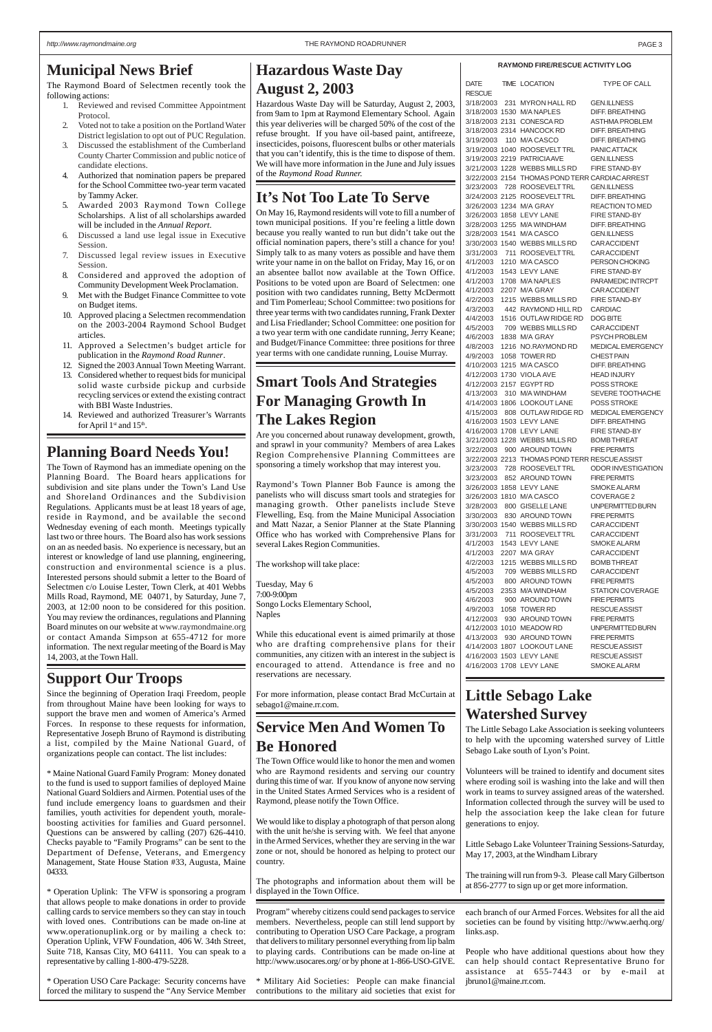#### **RAYMOND FIRE/RESCUE ACTIVITY LOG**

| DATE          | TIME LOCATION                                  | TYPE OF CALL                                  |
|---------------|------------------------------------------------|-----------------------------------------------|
| <b>RESCUE</b> |                                                |                                               |
|               | 3/18/2003 231 MYRON HALL RD                    | <b>GEN.ILLNESS</b>                            |
|               | 3/18/2003 1530 M/A NAPLES                      | <b>DIFF. BREATHING</b>                        |
|               | 3/18/2003 2131 CONESCARD                       | <b>ASTHMA PROBLEM</b>                         |
|               | 3/18/2003 2314 HANCOCK RD                      | <b>DIFF. BREATHING</b>                        |
|               | 3/19/2003 110 M/A CASCO                        | <b>DIFF. BREATHING</b>                        |
|               | 3/19/2003 1040 ROOSEVELTTRL                    | PANIC ATTACK                                  |
|               | 3/19/2003 2219 PATRICIAAVE                     | <b>GEN.ILLNESS</b>                            |
|               | 3/21/2003 1228 WEBBS MILLS RD                  | <b>FIRE STAND-BY</b>                          |
|               | 3/22/2003 2154 THOMAS POND TERR CARDIAC ARREST |                                               |
|               | 3/23/2003 728 ROOSEVELTTRL                     | <b>GEN.ILLNESS</b>                            |
|               |                                                |                                               |
|               | 3/24/2003 2125 ROOSEVELTTRL                    | <b>DIFF. BREATHING</b>                        |
|               | 3/26/2003 1234 M/A GRAY                        | REACTION TO MED                               |
|               | 3/26/2003 1858 LEVY LANE                       | <b>FIRE STAND-BY</b>                          |
|               | 3/28/2003 1255 M/A WINDHAM                     | <b>DIFF. BREATHING</b>                        |
|               | 3/28/2003 1541 M/A CASCO                       | <b>GEN.ILLNESS</b>                            |
|               | 3/30/2003 1540 WEBBS MILLS RD                  | <b>CARACCIDENT</b>                            |
|               | 3/31/2003 711 ROOSEVELTTRL                     | <b>CARACCIDENT</b>                            |
|               | 4/1/2003 1210 M/A CASCO                        | PERSON CHOKING                                |
| 4/1/2003      | 1543 LEVY LANE                                 | FIRE STAND-BY                                 |
|               | 4/1/2003 1708 M/A NAPLES                       | PARAMEDIC INTRCPT                             |
|               | 4/1/2003 2207 M/A GRAY                         | <b>CARACCIDENT</b>                            |
| 4/2/2003      | 1215 WEBBS MILLS RD                            | FIRE STAND-BY                                 |
| 4/3/2003      | 442 RAYMOND HILL RD                            | <b>CARDIAC</b>                                |
| 4/4/2003      | 1516 OUTLAW RIDGE RD                           | <b>DOG BITE</b>                               |
| 4/5/2003      | 709 WEBBS MILLS RD                             | <b>CARACCIDENT</b>                            |
| 4/6/2003      | 1838 M/A GRAY                                  | PSYCH PROBLEM                                 |
|               |                                                |                                               |
|               | 4/8/2003 1216 NO.RAYMOND RD                    | <b>MEDICAL EMERGENCY</b>                      |
|               | 4/9/2003 1058 TOWER RD                         | <b>CHEST PAIN</b>                             |
|               | 4/10/2003 1215 M/A CASCO                       | <b>DIFF, BREATHING</b>                        |
|               | 4/12/2003 1730 VIOLA AVE                       | HEAD INJURY                                   |
|               | 4/12/2003 2157 EGYPT RD                        | <b>POSS STROKE</b>                            |
| 4/13/2003     | 310 M/A WINDHAM                                | SEVERE TOOTHACHE                              |
|               | 4/14/2003 1806 LOOKOUT LANE                    | <b>POSS STROKE</b>                            |
|               | 4/15/2003 808 OUTLAW RIDGE RD                  | MEDICAL EMERGENCY                             |
|               | 4/16/2003 1503 LEVY LANE                       | DIFF. BREATHING                               |
|               | 4/16/2003 1708 LEVY LANE                       | <b>FIRE STAND-BY</b>                          |
|               | 3/21/2003 1228 WEBBS MILLS RD                  | <b>BOMB THREAT</b>                            |
|               | 3/22/2003 900 AROUND TOWN                      | <b>FIRE PERMITS</b>                           |
|               | 3/22/2003 2213 THOMAS POND TERR RESCUE ASSIST  |                                               |
|               |                                                | 3/23/2003 728 ROOSEVELTTRL ODOR INVESTIGATION |
|               | 3/23/2003 852 AROUND TOWN                      | <b>FIRE PERMITS</b>                           |
|               | 3/26/2003 1858 LEVY LANE                       | <b>SMOKE ALARM</b>                            |
|               | 3/26/2003 1810 M/A CASCO                       | COVERAGE 2                                    |
|               | 3/28/2003 800 GISELLE LANE                     | <b>UNPERMITTED BURN</b>                       |
|               |                                                |                                               |
|               | 3/30/2003 830 AROUND TOWN                      | <b>FIRE PERMITS</b>                           |
|               | 3/30/2003 1540 WEBBS MILLS RD                  | <b>CARACCIDENT</b>                            |
|               | 3/31/2003 711 ROOSEVELTTRL                     | <b>CARACCIDENT</b>                            |
|               | 4/1/2003 1543 LEVY LANE                        | <b>SMOKE ALARM</b>                            |
| 4/1/2003      | 2207 M/A GRAY                                  | <b>CARACCIDENT</b>                            |
|               | 4/2/2003 1215 WEBBS MILLS RD                   | <b>BOMB THREAT</b>                            |
| 4/5/2003      | 709 WEBBS MILLS RD                             | <b>CARACCIDENT</b>                            |
| 4/5/2003      | 800 AROUND TOWN                                | <b>FIRE PERMITS</b>                           |
| 4/5/2003      | 2353 M/A WINDHAM                               | <b>STATION COVERAGE</b>                       |
| 4/6/2003      | 900 AROUND TOWN                                | <b>FIRE PERMITS</b>                           |
| 4/9/2003      | 1058 TOWER RD                                  | RESCUE ASSIST                                 |
| 4/12/2003     | 930 AROUND TOWN                                | <b>FIRE PERMITS</b>                           |
|               | 4/12/2003 1010 MEADOW RD                       | UNPERMITTED BURN                              |
|               | 4/13/2003 930 AROUND TOWN                      | <b>FIRE PERMITS</b>                           |
|               | 4/14/2003 1807 LOOKOUT LANE                    | <b>RESCUE ASSIST</b>                          |
|               | 4/16/2003 1503 LEVY LANE                       | <b>RESCUE ASSIST</b>                          |
|               |                                                |                                               |
|               | 4/16/2003 1708 LEVY LANE                       | <b>SMOKE ALARM</b>                            |

- 1. Reviewed and revised Committee Appointment Protocol.
- 2. Voted not to take a position on the Portland Water District legislation to opt out of PUC Regulation.
- 3. Discussed the establishment of the Cumberland County Charter Commission and public notice of candidate elections.
- 4. Authorized that nomination papers be prepared for the School Committee two-year term vacated by Tammy Acker.
- 5. Awarded 2003 Raymond Town College Scholarships. A list of all scholarships awarded will be included in the *Annual Report*.
- 6. Discussed a land use legal issue in Executive Session.
- 7. Discussed legal review issues in Executive Session.
- 8. Considered and approved the adoption of Community Development Week Proclamation.
- 9. Met with the Budget Finance Committee to vote on Budget items.
- 10. Approved placing a Selectmen recommendation on the 2003-2004 Raymond School Budget articles.
- 11. Approved a Selectmen's budget article for publication in the *Raymond Road Runner*.
- 12. Signed the 2003 Annual Town Meeting Warrant.
- 13. Considered whether to request bids for municipal solid waste curbside pickup and curbside recycling services or extend the existing contract with BBI Waste Industries.
- 14. Reviewed and authorized Treasurer's Warrants for April 1st and 15<sup>th</sup>.

## **Hazardous Waste Day August 2, 2003**

Hazardous Waste Day will be Saturday, August 2, 2003, from 9am to 1pm at Raymond Elementary School. Again this year deliveries will be charged 50% of the cost of the refuse brought. If you have oil-based paint, antifreeze, insecticides, poisons, fluorescent bulbs or other materials that you can't identify, this is the time to dispose of them. We will have more information in the June and July issues of the *Raymond Road Runner.*

## **It's Not Too Late To Serve**

On May 16, Raymond residents will vote to fill a number of town municipal positions. If you're feeling a little down because you really wanted to run but didn't take out the official nomination papers, there's still a chance for you! Simply talk to as many voters as possible and have them write your name in on the ballot on Friday, May 16, or on an absentee ballot now available at the Town Office. Positions to be voted upon are Board of Selectmen: one position with two candidates running, Betty McDermott and Tim Pomerleau; School Committee: two positions for three year terms with two candidates running, Frank Dexter and Lisa Friedlander; School Committee: one position for a two year term with one candidate running, Jerry Keane; and Budget/Finance Committee: three positions for three year terms with one candidate running, Louise Murray.

## **Smart Tools And Strategies For Managing Growth In The Lakes Region**

Are you concerned about runaway development, growth, and sprawl in your community? Members of area Lakes Region Comprehensive Planning Committees are sponsoring a timely workshop that may interest you.

Raymond's Town Planner Bob Faunce is among the panelists who will discuss smart tools and strategies for managing growth. Other panelists include Steve Flewelling, Esq. from the Maine Municipal Association and Matt Nazar, a Senior Planner at the State Planning Office who has worked with Comprehensive Plans for several Lakes Region Communities.

The workshop will take place:

Tuesday, May 6 7:00-9:00pm Songo Locks Elementary School, Naples

While this educational event is aimed primarily at those who are drafting comprehensive plans for their communities, any citizen with an interest in the subject is encouraged to attend. Attendance is free and no reservations are necessary.

For more information, please contact Brad McCurtain at sebago1@maine.rr.com.

## **Municipal News Brief**

The Raymond Board of Selectmen recently took the following actions:

## **Planning Board Needs You!**

The Town of Raymond has an immediate opening on the Planning Board. The Board hears applications for subdivision and site plans under the Town's Land Use and Shoreland Ordinances and the Subdivision Regulations. Applicants must be at least 18 years of age, reside in Raymond, and be available the second Wednesday evening of each month. Meetings typically last two or three hours. The Board also has work sessions on an as needed basis. No experience is necessary, but an interest or knowledge of land use planning, engineering, construction and environmental science is a plus. Interested persons should submit a letter to the Board of Selectmen c/o Louise Lester, Town Clerk, at 401 Webbs Mills Road, Raymond, ME 04071, by Saturday, June 7, 2003, at 12:00 noon to be considered for this position. You may review the ordinances, regulations and Planning Board minutes on our website at www.raymondmaine.org or contact Amanda Simpson at 655-4712 for more information. The next regular meeting of the Board is May 14, 2003, at the Town Hall.

## **Service Men And Women To Be Honored**

The Town Office would like to honor the men and women who are Raymond residents and serving our country during this time of war. If you know of anyone now serving in the United States Armed Services who is a resident of Raymond, please notify the Town Office.

We would like to display a photograph of that person along with the unit he/she is serving with. We feel that anyone in the Armed Services, whether they are serving in the war zone or not, should be honored as helping to protect our country.

The photographs and information about them will be displayed in the Town Office.

## **Little Sebago Lake Watershed Survey**

The Little Sebago Lake Association is seeking volunteers to help with the upcoming watershed survey of Little Sebago Lake south of Lyon's Point.

Volunteers will be trained to identify and document sites where eroding soil is washing into the lake and will then work in teams to survey assigned areas of the watershed. Information collected through the survey will be used to help the association keep the lake clean for future generations to enjoy.

Little Sebago Lake Volunteer Training Sessions-Saturday, May 17, 2003, at the Windham Library

The training will run from 9-3. Please call Mary Gilbertson at 856-2777 to sign up or get more information.

## **Support Our Troops**

Since the beginning of Operation Iraqi Freedom, people from throughout Maine have been looking for ways to support the brave men and women of America's Armed Forces. In response to these requests for information, Representative Joseph Bruno of Raymond is distributing a list, compiled by the Maine National Guard, of organizations people can contact. The list includes:

\* Maine National Guard Family Program: Money donated to the fund is used to support families of deployed Maine National Guard Soldiers and Airmen. Potential uses of the fund include emergency loans to guardsmen and their families, youth activities for dependent youth, moraleboosting activities for families and Guard personnel. Questions can be answered by calling (207) 626-4410. Checks payable to "Family Programs" can be sent to the Department of Defense, Veterans, and Emergency Management, State House Station #33, Augusta, Maine 04333.

\* Operation Uplink: The VFW is sponsoring a program that allows people to make donations in order to provide calling cards to service members so they can stay in touch with loved ones. Contributions can be made on-line at www.operationuplink.org or by mailing a check to: Operation Uplink, VFW Foundation, 406 W. 34th Street, Suite 718, Kansas City, MO 64111. You can speak to a representative by calling 1-800-479-5228.

\* Operation USO Care Package: Security concerns have forced the military to suspend the "Any Service Member

Program" whereby citizens could send packages to service members. Nevertheless, people can still lend support by contributing to Operation USO Care Package, a program that delivers to military personnel everything from lip balm to playing cards. Contributions can be made on-line at http://www.usocares.org/ or by phone at 1-866-USO-GIVE.

\* Military Aid Societies: People can make financial contributions to the military aid societies that exist for

each branch of our Armed Forces. Websites for all the aid societies can be found by visiting http://www.aerhq.org/ links.asp.

People who have additional questions about how they can help should contact Representative Bruno for assistance at 655-7443 or by e-mail at jbruno1@maine.rr.com.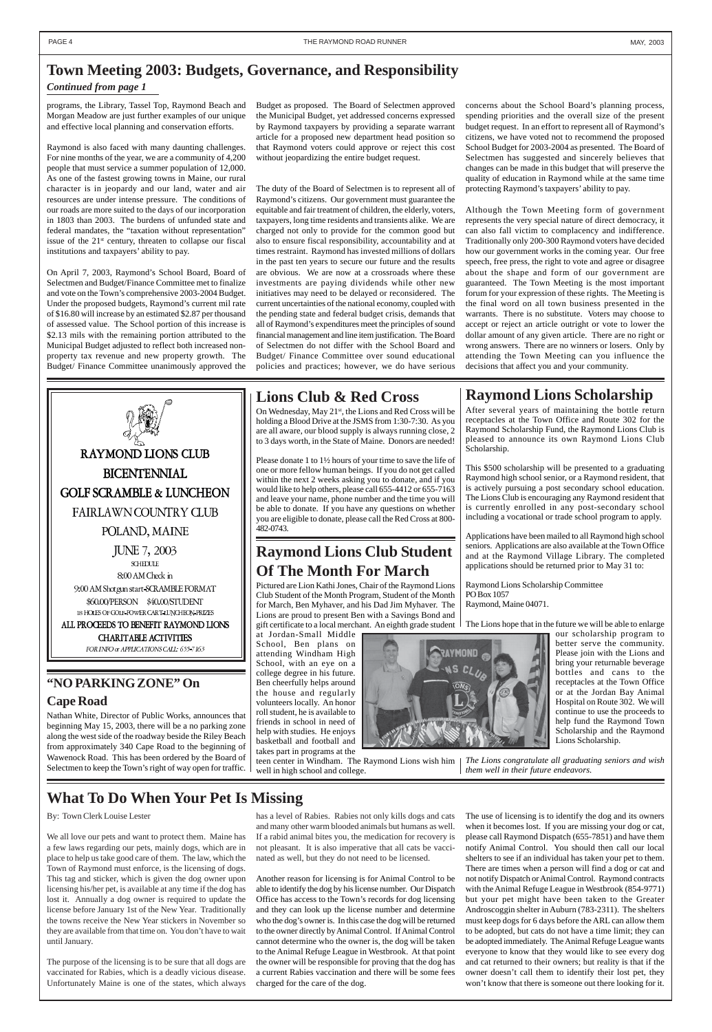programs, the Library, Tassel Top, Raymond Beach and Morgan Meadow are just further examples of our unique and effective local planning and conservation efforts.

Raymond is also faced with many daunting challenges. For nine months of the year, we are a community of 4,200 people that must service a summer population of 12,000. As one of the fastest growing towns in Maine, our rural character is in jeopardy and our land, water and air resources are under intense pressure. The conditions of our roads are more suited to the days of our incorporation in 1803 than 2003. The burdens of unfunded state and federal mandates, the "taxation without representation" issue of the  $21<sup>st</sup>$  century, threaten to collapse our fiscal institutions and taxpayers' ability to pay.

On April 7, 2003, Raymond's School Board, Board of Selectmen and Budget/Finance Committee met to finalize and vote on the Town's comprehensive 2003-2004 Budget. Under the proposed budgets, Raymond's current mil rate of \$16.80 will increase by an estimated \$2.87 per thousand of assessed value. The School portion of this increase is \$2.13 mils with the remaining portion attributed to the Municipal Budget adjusted to reflect both increased nonproperty tax revenue and new property growth. The Budget/ Finance Committee unanimously approved the



#### Budget as proposed. The Board of Selectmen approved the Municipal Budget, yet addressed concerns expressed by Raymond taxpayers by providing a separate warrant article for a proposed new department head position so that Raymond voters could approve or reject this cost without jeopardizing the entire budget request.

The duty of the Board of Selectmen is to represent all of Raymond's citizens. Our government must guarantee the equitable and fair treatment of children, the elderly, voters, taxpayers, long time residents and transients alike. We are charged not only to provide for the common good but also to ensure fiscal responsibility, accountability and at times restraint. Raymond has invested millions of dollars in the past ten years to secure our future and the results are obvious. We are now at a crossroads where these investments are paying dividends while other new initiatives may need to be delayed or reconsidered. The current uncertainties of the national economy, coupled with the pending state and federal budget crisis, demands that all of Raymond's expenditures meet the principles of sound financial management and line item justification. The Board of Selectmen do not differ with the School Board and Budget/ Finance Committee over sound educational policies and practices; however, we do have serious

concerns about the School Board's planning process, spending priorities and the overall size of the present budget request. In an effort to represent all of Raymond's citizens, we have voted not to recommend the proposed School Budget for 2003-2004 as presented. The Board of Selectmen has suggested and sincerely believes that changes can be made in this budget that will preserve the quality of education in Raymond while at the same time protecting Raymond's taxpayers' ability to pay.

On Wednesday, May 21<sup>st</sup>, the Lions and Red Cross will be holding a Blood Drive at the JSMS from 1:30-7:30. As you are all aware, our blood supply is always running close, 2 to 3 days worth, in the State of Maine. Donors are needed! Although the Town Meeting form of government represents the very special nature of direct democracy, it can also fall victim to complacency and indifference. Traditionally only 200-300 Raymond voters have decided how our government works in the coming year. Our free speech, free press, the right to vote and agree or disagree about the shape and form of our government are guaranteed. The Town Meeting is the most important forum for your expression of these rights. The Meeting is the final word on all town business presented in the warrants. There is no substitute. Voters may choose to accept or reject an article outright or vote to lower the dollar amount of any given article. There are no right or wrong answers. There are no winners or losers. Only by attending the Town Meeting can you influence the decisions that affect you and your community.

## **Town Meeting 2003: Budgets, Governance, and Responsibility**

#### *Continued from page 1*

## **What To Do When Your Pet Is Missing**

By: Town Clerk Louise Lester

We all love our pets and want to protect them. Maine has a few laws regarding our pets, mainly dogs, which are in place to help us take good care of them. The law, which the Town of Raymond must enforce, is the licensing of dogs. This tag and sticker, which is given the dog owner upon licensing his/her pet, is available at any time if the dog has lost it. Annually a dog owner is required to update the license before January 1st of the New Year. Traditionally the towns receive the New Year stickers in November so they are available from that time on. You don't have to wait until January.

The purpose of the licensing is to be sure that all dogs are vaccinated for Rabies, which is a deadly vicious disease. Unfortunately Maine is one of the states, which always

has a level of Rabies. Rabies not only kills dogs and cats and many other warm blooded animals but humans as well. If a rabid animal bites you, the medication for recovery is not pleasant. It is also imperative that all cats be vaccinated as well, but they do not need to be licensed.

Another reason for licensing is for Animal Control to be able to identify the dog by his license number. Our Dispatch Office has access to the Town's records for dog licensing and they can look up the license number and determine who the dog's owner is. In this case the dog will be returned to the owner directly by Animal Control. If Animal Control cannot determine who the owner is, the dog will be taken to the Animal Refuge League in Westbrook. At that point the owner will be responsible for proving that the dog has a current Rabies vaccination and there will be some fees charged for the care of the dog.

The use of licensing is to identify the dog and its owners when it becomes lost. If you are missing your dog or cat, please call Raymond Dispatch (655-7851) and have them notify Animal Control. You should then call our local shelters to see if an individual has taken your pet to them. There are times when a person will find a dog or cat and not notify Dispatch or Animal Control. Raymond contracts with the Animal Refuge League in Westbrook (854-9771) but your pet might have been taken to the Greater Androscoggin shelter in Auburn (783-2311). The shelters must keep dogs for 6 days before the ARL can allow them to be adopted, but cats do not have a time limit; they can be adopted immediately. The Animal Refuge League wants everyone to know that they would like to see every dog and cat returned to their owners; but reality is that if the owner doesn't call them to identify their lost pet, they won't know that there is someone out there looking for it.

## **Lions Club & Red Cross**

Please donate 1 to 1½ hours of your time to save the life of one or more fellow human beings. If you do not get called within the next 2 weeks asking you to donate, and if you would like to help others, please call 655-4412 or 655-7163 and leave your name, phone number and the time you will be able to donate. If you have any questions on whether you are eligible to donate, please call the Red Cross at 800- 482-0743.

## **Raymond Lions Scholarship**

After several years of maintaining the bottle return receptacles at the Town Office and Route 302 for the Raymond Scholarship Fund, the Raymond Lions Club is pleased to announce its own Raymond Lions Club Scholarship.

This \$500 scholarship will be presented to a graduating Raymond high school senior, or a Raymond resident, that is actively pursuing a post secondary school education. The Lions Club is encouraging any Raymond resident that is currently enrolled in any post-secondary school including a vocational or trade school program to apply.

Applications have been mailed to all Raymond high school seniors. Applications are also available at the Town Office and at the Raymond Village Library. The completed applications should be returned prior to May 31 to:

Raymond Lions Scholarship Committee PO Box 1057 Raymond, Maine 04071.

The Lions hope that in the future we will be able to enlarge



our scholarship program to better serve the community. Please join with the Lions and bring your returnable beverage bottles and cans to the receptacles at the Town Office or at the Jordan Bay Animal Hospital on Route 302. We will continue to use the proceeds to help fund the Raymond Town Scholarship and the Raymond Lions Scholarship.

*The Lions congratulate all graduating seniors and wish them well in their future endeavors.*

## **Raymond Lions Club Student Of The Month For March**

Pictured are Lion Kathi Jones, Chair of the Raymond Lions Club Student of the Month Program, Student of the Month for March, Ben Myhaver, and his Dad Jim Myhaver. The Lions are proud to present Ben with a Savings Bond and gift certificate to a local merchant. An eighth grade student

at Jordan-Small Middle School, Ben plans on attending Windham High School, with an eye on a college degree in his future. Ben cheerfully helps around the house and regularly volunteers locally. An honor roll student, he is available to friends in school in need of help with studies. He enjoys basketball and football and takes part in programs at the

teen center in Windham. The Raymond Lions wish him well in high school and college.

### **"NO PARKING ZONE" On**

#### **Cape Road**

Nathan White, Director of Public Works, announces that beginning May 15, 2003, there will be a no parking zone along the west side of the roadway beside the Riley Beach from approximately 340 Cape Road to the beginning of Wawenock Road. This has been ordered by the Board of Selectmen to keep the Town's right of way open for traffic.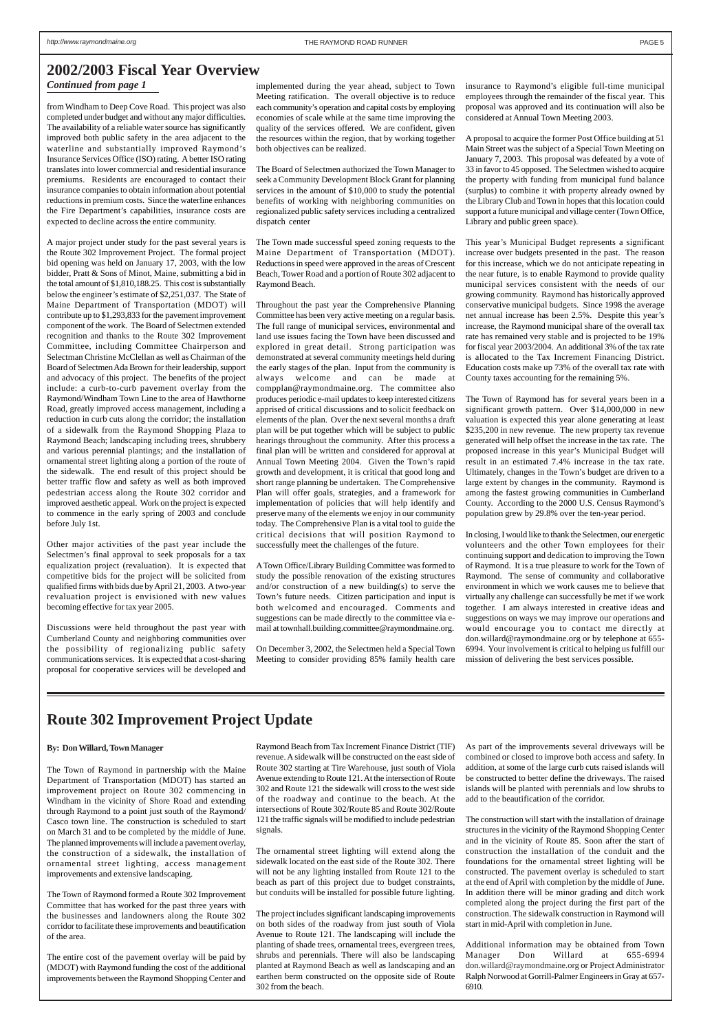from Windham to Deep Cove Road. This project was also completed under budget and without any major difficulties. The availability of a reliable water source has significantly improved both public safety in the area adjacent to the waterline and substantially improved Raymond's Insurance Services Office (ISO) rating. A better ISO rating translates into lower commercial and residential insurance premiums. Residents are encouraged to contact their insurance companies to obtain information about potential reductions in premium costs. Since the waterline enhances the Fire Department's capabilities, insurance costs are expected to decline across the entire community.

A major project under study for the past several years is the Route 302 Improvement Project. The formal project bid opening was held on January 17, 2003, with the low bidder, Pratt & Sons of Minot, Maine, submitting a bid in the total amount of \$1,810,188.25. This cost is substantially below the engineer's estimate of \$2,251,037. The State of Maine Department of Transportation (MDOT) will contribute up to \$1,293,833 for the pavement improvement component of the work. The Board of Selectmen extended recognition and thanks to the Route 302 Improvement Committee, including Committee Chairperson and Selectman Christine McClellan as well as Chairman of the Board of Selectmen Ada Brown for their leadership, support and advocacy of this project. The benefits of the project include: a curb-to-curb pavement overlay from the Raymond/Windham Town Line to the area of Hawthorne Road, greatly improved access management, including a reduction in curb cuts along the corridor; the installation of a sidewalk from the Raymond Shopping Plaza to Raymond Beach; landscaping including trees, shrubbery and various perennial plantings; and the installation of ornamental street lighting along a portion of the route of the sidewalk. The end result of this project should be better traffic flow and safety as well as both improved pedestrian access along the Route 302 corridor and improved aesthetic appeal. Work on the project is expected to commence in the early spring of 2003 and conclude before July 1st.

Other major activities of the past year include the Selectmen's final approval to seek proposals for a tax equalization project (revaluation). It is expected that competitive bids for the project will be solicited from qualified firms with bids due by April 21, 2003. A two-year revaluation project is envisioned with new values becoming effective for tax year 2005.

Discussions were held throughout the past year with Cumberland County and neighboring communities over the possibility of regionalizing public safety communications services. It is expected that a cost-sharing proposal for cooperative services will be developed and

implemented during the year ahead, subject to Town Meeting ratification. The overall objective is to reduce each community's operation and capital costs by employing economies of scale while at the same time improving the quality of the services offered. We are confident, given the resources within the region, that by working together both objectives can be realized.

The Board of Selectmen authorized the Town Manager to seek a Community Development Block Grant for planning services in the amount of \$10,000 to study the potential benefits of working with neighboring communities on regionalized public safety services including a centralized dispatch center

The Town made successful speed zoning requests to the Maine Department of Transportation (MDOT). Reductions in speed were approved in the areas of Crescent Beach, Tower Road and a portion of Route 302 adjacent to Raymond Beach.

Throughout the past year the Comprehensive Planning Committee has been very active meeting on a regular basis. The full range of municipal services, environmental and land use issues facing the Town have been discussed and explored in great detail. Strong participation was demonstrated at several community meetings held during the early stages of the plan. Input from the community is always welcome and can be made at compplan@raymondmaine.org. The committee also produces periodic e-mail updates to keep interested citizens apprised of critical discussions and to solicit feedback on elements of the plan. Over the next several months a draft plan will be put together which will be subject to public hearings throughout the community. After this process a final plan will be written and considered for approval at Annual Town Meeting 2004. Given the Town's rapid growth and development, it is critical that good long and short range planning be undertaken. The Comprehensive Plan will offer goals, strategies, and a framework for implementation of policies that will help identify and preserve many of the elements we enjoy in our community today. The Comprehensive Plan is a vital tool to guide the critical decisions that will position Raymond to successfully meet the challenges of the future.

A Town Office/Library Building Committee was formed to study the possible renovation of the existing structures and/or construction of a new building(s) to serve the Town's future needs. Citizen participation and input is both welcomed and encouraged. Comments and suggestions can be made directly to the committee via email at townhall.building.committee@raymondmaine.org.

On December 3, 2002, the Selectmen held a Special Town Meeting to consider providing 85% family health care insurance to Raymond's eligible full-time municipal employees through the remainder of the fiscal year. This proposal was approved and its continuation will also be considered at Annual Town Meeting 2003.

A proposal to acquire the former Post Office building at 51 Main Street was the subject of a Special Town Meeting on January 7, 2003. This proposal was defeated by a vote of 33 in favor to 45 opposed. The Selectmen wished to acquire the property with funding from municipal fund balance (surplus) to combine it with property already owned by the Library Club and Town in hopes that this location could support a future municipal and village center (Town Office, Library and public green space).

This year's Municipal Budget represents a significant increase over budgets presented in the past. The reason for this increase, which we do not anticipate repeating in the near future, is to enable Raymond to provide quality municipal services consistent with the needs of our growing community. Raymond has historically approved conservative municipal budgets. Since 1998 the average net annual increase has been 2.5%. Despite this year's increase, the Raymond municipal share of the overall tax rate has remained very stable and is projected to be 19% for fiscal year 2003/2004. An additional 3% of the tax rate is allocated to the Tax Increment Financing District. Education costs make up 73% of the overall tax rate with County taxes accounting for the remaining 5%.

The Town of Raymond has for several years been in a significant growth pattern. Over \$14,000,000 in new valuation is expected this year alone generating at least \$235,200 in new revenue. The new property tax revenue generated will help offset the increase in the tax rate. The proposed increase in this year's Municipal Budget will result in an estimated 7.4% increase in the tax rate. Ultimately, changes in the Town's budget are driven to a large extent by changes in the community. Raymond is among the fastest growing communities in Cumberland County. According to the 2000 U.S. Census Raymond's population grew by 29.8% over the ten-year period.

In closing, I would like to thank the Selectmen, our energetic volunteers and the other Town employees for their continuing support and dedication to improving the Town of Raymond. It is a true pleasure to work for the Town of Raymond. The sense of community and collaborative environment in which we work causes me to believe that virtually any challenge can successfully be met if we work together. I am always interested in creative ideas and suggestions on ways we may improve our operations and would encourage you to contact me directly at don.willard@raymondmaine.org or by telephone at 655- 6994. Your involvement is critical to helping us fulfill our mission of delivering the best services possible.

### **2002/2003 Fiscal Year Overview**

#### *Continued from page 1*

#### **By: Don Willard, Town Manager**

The Town of Raymond in partnership with the Maine Department of Transportation (MDOT) has started an

improvement project on Route 302 commencing in Windham in the vicinity of Shore Road and extending through Raymond to a point just south of the Raymond/ Casco town line. The construction is scheduled to start on March 31 and to be completed by the middle of June. The planned improvements will include a pavement overlay, the construction of a sidewalk, the installation of ornamental street lighting, access management improvements and extensive landscaping.

The Town of Raymond formed a Route 302 Improvement Committee that has worked for the past three years with the businesses and landowners along the Route 302 corridor to facilitate these improvements and beautification of the area.

The entire cost of the pavement overlay will be paid by (MDOT) with Raymond funding the cost of the additional improvements between the Raymond Shopping Center and

Raymond Beach from Tax Increment Finance District (TIF) revenue. A sidewalk will be constructed on the east side of Route 302 starting at Tire Warehouse, just south of Viola Avenue extending to Route 121. At the intersection of Route 302 and Route 121 the sidewalk will cross to the west side of the roadway and continue to the beach. At the intersections of Route 302/Route 85 and Route 302/Route 121 the traffic signals will be modified to include pedestrian signals.

The ornamental street lighting will extend along the sidewalk located on the east side of the Route 302. There will not be any lighting installed from Route 121 to the beach as part of this project due to budget constraints, but conduits will be installed for possible future lighting.

The project includes significant landscaping improvements on both sides of the roadway from just south of Viola Avenue to Route 121. The landscaping will include the planting of shade trees, ornamental trees, evergreen trees, shrubs and perennials. There will also be landscaping planted at Raymond Beach as well as landscaping and an earthen berm constructed on the opposite side of Route 302 from the beach.

As part of the improvements several driveways will be combined or closed to improve both access and safety. In addition, at some of the large curb cuts raised islands will be constructed to better define the driveways. The raised

islands will be planted with perennials and low shrubs to add to the beautification of the corridor.

The construction will start with the installation of drainage structures in the vicinity of the Raymond Shopping Center and in the vicinity of Route 85. Soon after the start of construction the installation of the conduit and the foundations for the ornamental street lighting will be constructed. The pavement overlay is scheduled to start at the end of April with completion by the middle of June. In addition there will be minor grading and ditch work completed along the project during the first part of the construction. The sidewalk construction in Raymond will start in mid-April with completion in June.

Additional information may be obtained from Town Manager Don Willard at 655-6994 don.willard@raymondmaine.org or Project Administrator Ralph Norwood at Gorrill-Palmer Engineers in Gray at 657- 6910.

## **Route 302 Improvement Project Update**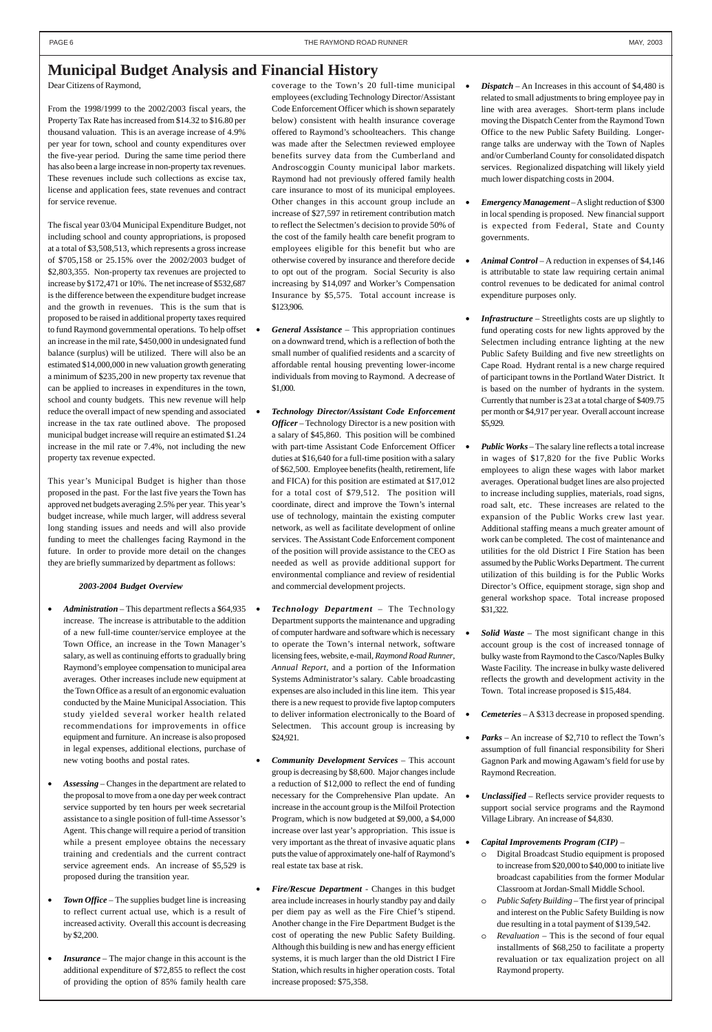Dear Citizens of Raymond,

From the 1998/1999 to the 2002/2003 fiscal years, the Property Tax Rate has increased from \$14.32 to \$16.80 per thousand valuation. This is an average increase of 4.9% per year for town, school and county expenditures over the five-year period. During the same time period there has also been a large increase in non-property tax revenues. These revenues include such collections as excise tax, license and application fees, state revenues and contract for service revenue.

The fiscal year 03/04 Municipal Expenditure Budget, not including school and county appropriations, is proposed at a total of \$3,508,513, which represents a gross increase of \$705,158 or 25.15% over the 2002/2003 budget of \$2,803,355. Non-property tax revenues are projected to increase by \$172,471 or 10%. The net increase of \$532,687 is the difference between the expenditure budget increase and the growth in revenues. This is the sum that is proposed to be raised in additional property taxes required to fund Raymond governmental operations. To help offset an increase in the mil rate, \$450,000 in undesignated fund balance (surplus) will be utilized. There will also be an estimated \$14,000,000 in new valuation growth generating a minimum of \$235,200 in new property tax revenue that can be applied to increases in expenditures in the town, school and county budgets. This new revenue will help reduce the overall impact of new spending and associated increase in the tax rate outlined above. The proposed municipal budget increase will require an estimated \$1.24 increase in the mil rate or 7.4%, not including the new property tax revenue expected.

• *Administration* – This department reflects a \$64,935 • increase. The increase is attributable to the addition of a new full-time counter/service employee at the Town Office, an increase in the Town Manager's salary, as well as continuing efforts to gradually bring Raymond's employee compensation to municipal area averages. Other increases include new equipment at the Town Office as a result of an ergonomic evaluation conducted by the Maine Municipal Association. This study yielded several worker health related recommendations for improvements in office equipment and furniture. An increase is also proposed in legal expenses, additional elections, purchase of new voting booths and postal rates.

This year's Municipal Budget is higher than those proposed in the past. For the last five years the Town has approved net budgets averaging 2.5% per year. This year's budget increase, while much larger, will address several long standing issues and needs and will also provide funding to meet the challenges facing Raymond in the future. In order to provide more detail on the changes they are briefly summarized by department as follows:

#### *2003-2004 Budget Overview*

- *Assessing*  Changes in the department are related to the proposal to move from a one day per week contract service supported by ten hours per week secretarial assistance to a single position of full-time Assessor's Agent. This change will require a period of transition while a present employee obtains the necessary training and credentials and the current contract service agreement ends. An increase of \$5,529 is proposed during the transition year.
- *Town Office*  The supplies budget line is increasing to reflect current actual use, which is a result of increased activity. Overall this account is decreasing by \$2,200.
- *Insurance*  The major change in this account is the additional expenditure of \$72,855 to reflect the cost of providing the option of 85% family health care

coverage to the Town's 20 full-time municipal employees (excluding Technology Director/Assistant Code Enforcement Officer which is shown separately below) consistent with health insurance coverage offered to Raymond's schoolteachers. This change was made after the Selectmen reviewed employee benefits survey data from the Cumberland and Androscoggin County municipal labor markets. Raymond had not previously offered family health care insurance to most of its municipal employees. Other changes in this account group include an increase of \$27,597 in retirement contribution match to reflect the Selectmen's decision to provide 50% of the cost of the family health care benefit program to employees eligible for this benefit but who are otherwise covered by insurance and therefore decide to opt out of the program. Social Security is also increasing by \$14,097 and Worker's Compensation Insurance by \$5,575. Total account increase is \$123,906.

- *General Assistance*  This appropriation continues on a downward trend, which is a reflection of both the small number of qualified residents and a scarcity of affordable rental housing preventing lower-income individuals from moving to Raymond. A decrease of \$1,000.
- *Technology Director/Assistant Code Enforcement Officer* – Technology Director is a new position with a salary of \$45,860. This position will be combined with part-time Assistant Code Enforcement Officer duties at \$16,640 for a full-time position with a salary of \$62,500. Employee benefits (health, retirement, life and FICA) for this position are estimated at \$17,012 for a total cost of \$79,512. The position will coordinate, direct and improve the Town's internal use of technology, maintain the existing computer network, as well as facilitate development of online services. The Assistant Code Enforcement component of the position will provide assistance to the CEO as needed as well as provide additional support for environmental compliance and review of residential and commercial development projects.
- *Technology Department*  The Technology Department supports the maintenance and upgrading of computer hardware and software which is necessary to operate the Town's internal network, software licensing fees, website, e-mail, *Raymond Road Runner*, *Annual Report*, and a portion of the Information Systems Administrator's salary. Cable broadcasting expenses are also included in this line item. This year there is a new request to provide five laptop computers to deliver information electronically to the Board of Selectmen. This account group is increasing by \$24,921.
- *Community Development Services* This account group is decreasing by \$8,600. Major changes include

a reduction of \$12,000 to reflect the end of funding necessary for the Comprehensive Plan update. An increase in the account group is the Milfoil Protection Program, which is now budgeted at \$9,000, a \$4,000 increase over last year's appropriation. This issue is very important as the threat of invasive aquatic plans puts the value of approximately one-half of Raymond's real estate tax base at risk.

• *Fire/Rescue Department* - Changes in this budget area include increases in hourly standby pay and daily per diem pay as well as the Fire Chief's stipend. Another change in the Fire Department Budget is the cost of operating the new Public Safety Building. Although this building is new and has energy efficient systems, it is much larger than the old District I Fire Station, which results in higher operation costs. Total increase proposed: \$75,358.

- *Dispatch* An Increases in this account of \$4,480 is related to small adjustments to bring employee pay in line with area averages. Short-term plans include moving the Dispatch Center from the Raymond Town Office to the new Public Safety Building. Longerrange talks are underway with the Town of Naples and/or Cumberland County for consolidated dispatch services. Regionalized dispatching will likely yield much lower dispatching costs in 2004.
- *Emergency Management*  A slight reduction of \$300 in local spending is proposed. New financial support is expected from Federal, State and County governments.
- *Animal Control* A reduction in expenses of \$4,146 is attributable to state law requiring certain animal control revenues to be dedicated for animal control expenditure purposes only.
- *Infrastructure*  Streetlights costs are up slightly to fund operating costs for new lights approved by the Selectmen including entrance lighting at the new Public Safety Building and five new streetlights on Cape Road. Hydrant rental is a new charge required of participant towns in the Portland Water District. It is based on the number of hydrants in the system. Currently that number is 23 at a total charge of \$409.75 per month or \$4,917 per year. Overall account increase \$5,929.
- *Public Works* The salary line reflects a total increase in wages of \$17,820 for the five Public Works employees to align these wages with labor market averages. Operational budget lines are also projected to increase including supplies, materials, road signs, road salt, etc. These increases are related to the expansion of the Public Works crew last year. Additional staffing means a much greater amount of work can be completed. The cost of maintenance and utilities for the old District I Fire Station has been assumed by the Public Works Department. The current utilization of this building is for the Public Works Director's Office, equipment storage, sign shop and general workshop space. Total increase proposed \$31,322.
- *Solid Waste* The most significant change in this account group is the cost of increased tonnage of bulky waste from Raymond to the Casco/Naples Bulky Waste Facility. The increase in bulky waste delivered reflects the growth and development activity in the Town. Total increase proposed is \$15,484.
- *Cemeteries* A \$313 decrease in proposed spending.
- *Parks*  An increase of \$2,710 to reflect the Town's assumption of full financial responsibility for Sheri Gagnon Park and mowing Agawam's field for use by Raymond Recreation.

• *Unclassified* – Reflects service provider requests to support social service programs and the Raymond Village Library. An increase of \$4,830.

#### • *Capital Improvements Program (CIP)* –

- o Digital Broadcast Studio equipment is proposed to increase from \$20,000 to \$40,000 to initiate live broadcast capabilities from the former Modular Classroom at Jordan-Small Middle School.
- o *Public Safety Building* The first year of principal and interest on the Public Safety Building is now due resulting in a total payment of \$139,542.
- o *Revaluation* This is the second of four equal installments of \$68,250 to facilitate a property revaluation or tax equalization project on all Raymond property.

## **Municipal Budget Analysis and Financial History**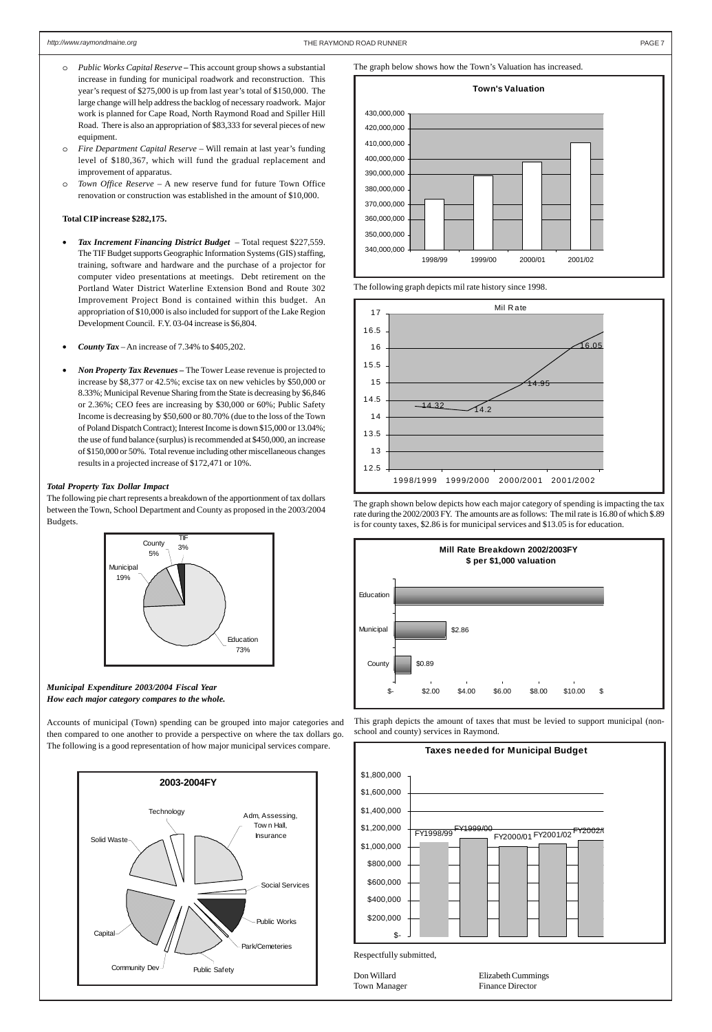

- o *Public Works Capital Reserve –* This account group shows a substantial increase in funding for municipal roadwork and reconstruction. This year's request of \$275,000 is up from last year's total of \$150,000. The large change will help address the backlog of necessary roadwork. Major work is planned for Cape Road, North Raymond Road and Spiller Hill Road. There is also an appropriation of \$83,333 for several pieces of new equipment.
- o *Fire Department Capital Reserve* Will remain at last year's funding level of \$180,367, which will fund the gradual replacement and improvement of apparatus.
- o *Town Office Reserve*  A new reserve fund for future Town Office renovation or construction was established in the amount of \$10,000.

#### **Total CIP increase \$282,175.**

- *Tax Increment Financing District Budget*  Total request \$227,559. The TIF Budget supports Geographic Information Systems (GIS) staffing, training, software and hardware and the purchase of a projector for computer video presentations at meetings. Debt retirement on the Portland Water District Waterline Extension Bond and Route 302 Improvement Project Bond is contained within this budget. An appropriation of \$10,000 is also included for support of the Lake Region Development Council. F.Y. 03-04 increase is \$6,804.
- *County Tax* An increase of 7.34% to \$405,202.
- *Non Property Tax Revenues* The Tower Lease revenue is projected to increase by \$8,377 or 42.5%; excise tax on new vehicles by \$50,000 or 8.33%; Municipal Revenue Sharing from the State is decreasing by \$6,846 or 2.36%; CEO fees are increasing by \$30,000 or 60%; Public Safety Income is decreasing by \$50,600 or 80.70% (due to the loss of the Town of Poland Dispatch Contract); Interest Income is down \$15,000 or 13.04%; the use of fund balance (surplus) is recommended at \$450,000, an increase of \$150,000 or 50%. Total revenue including other miscellaneous changes results in a projected increase of \$172,471 or 10%.

#### *Total Property Tax Dollar Impact*

The following pie chart represents a breakdown of the apportionment of tax dollars between the Town, School Department and County as proposed in the 2003/2004 Budgets.









**Taxes needed for Municipal Budget**

\$1,800,000

This graph depicts the amount of taxes that must be levied to support municipal (nonschool and county) services in Raymond.

The graph shown below depicts how each major category of spending is impacting the tax rate during the 2002/2003 FY. The amounts are as follows: The mil rate is 16.80 of which \$.89 is for county taxes, \$2.86 is for municipal services and \$13.05 is for education.



The following graph depicts mil rate history since 1998.

The graph below shows how the Town's Valuation has increased.

*Municipal Expenditure 2003/2004 Fiscal Year How each major category compares to the whole.*

Accounts of municipal (Town) spending can be grouped into major categories and then compared to one another to provide a perspective on where the tax dollars go. The following is a good representation of how major municipal services compare.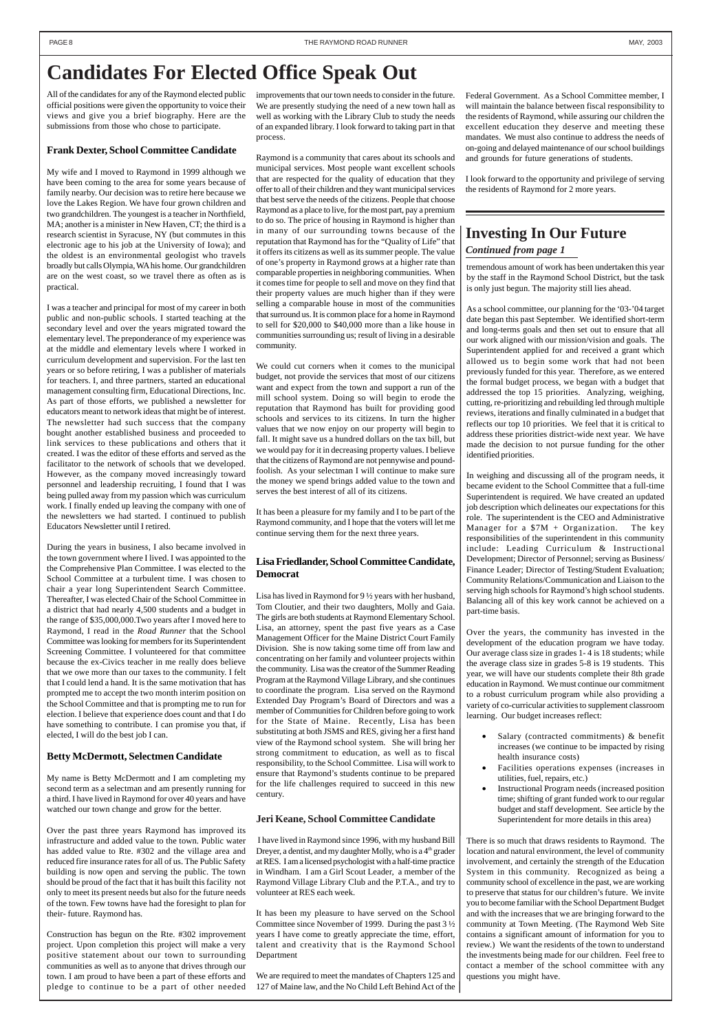tremendous amount of work has been undertaken this year by the staff in the Raymond School District, but the task is only just begun. The majority still lies ahead.

As a school committee, our planning for the '03-'04 target date began this past September. We identified short-term and long-terms goals and then set out to ensure that all our work aligned with our mission/vision and goals. The Superintendent applied for and received a grant which allowed us to begin some work that had not been previously funded for this year. Therefore, as we entered the formal budget process, we began with a budget that addressed the top 15 priorities. Analyzing, weighing, cutting, re-prioritizing and rebuilding led through multiple reviews, iterations and finally culminated in a budget that reflects our top 10 priorities. We feel that it is critical to address these priorities district-wide next year. We have made the decision to not pursue funding for the other identified priorities.

- Salary (contracted commitments)  $\&$  benefit increases (we continue to be impacted by rising health insurance costs)
- Facilities operations expenses (increases in utilities, fuel, repairs, etc.)

In weighing and discussing all of the program needs, it became evident to the School Committee that a full-time Superintendent is required. We have created an updated job description which delineates our expectations for this role. The superintendent is the CEO and Administrative Manager for a  $$7M + Organization$ . The key responsibilities of the superintendent in this community include: Leading Curriculum & Instructional Development; Director of Personnel; serving as Business/ Finance Leader; Director of Testing/Student Evaluation; Community Relations/Communication and Liaison to the serving high schools for Raymond's high school students. Balancing all of this key work cannot be achieved on a part-time basis.

Over the years, the community has invested in the development of the education program we have today. Our average class size in grades 1- 4 is 18 students; while the average class size in grades 5-8 is 19 students. This year, we will have our students complete their 8th grade education in Raymond. We must continue our commitment to a robust curriculum program while also providing a variety of co-curricular activities to supplement classroom learning. Our budget increases reflect:

• Instructional Program needs (increased position time; shifting of grant funded work to our regular budget and staff development. See article by the Superintendent for more details in this area)

There is so much that draws residents to Raymond. The location and natural environment, the level of community involvement, and certainly the strength of the Education System in this community. Recognized as being a community school of excellence in the past, we are working to preserve that status for our children's future. We invite you to become familiar with the School Department Budget and with the increases that we are bringing forward to the community at Town Meeting. (The Raymond Web Site contains a significant amount of information for you to review.) We want the residents of the town to understand the investments being made for our children. Feel free to contact a member of the school committee with any questions you might have.

#### *Continued from page 1*

## **Investing In Our Future**

## **Candidates For Elected Office Speak Out**

All of the candidates for any of the Raymond elected public official positions were given the opportunity to voice their views and give you a brief biography. Here are the submissions from those who chose to participate.

#### **Frank Dexter, School Committee Candidate**

My wife and I moved to Raymond in 1999 although we have been coming to the area for some years because of family nearby. Our decision was to retire here because we love the Lakes Region. We have four grown children and two grandchildren. The youngest is a teacher in Northfield, MA; another is a minister in New Haven, CT; the third is a research scientist in Syracuse, NY (but commutes in this electronic age to his job at the University of Iowa); and the oldest is an environmental geologist who travels broadly but calls Olympia, WA his home. Our grandchildren are on the west coast, so we travel there as often as is practical.

I was a teacher and principal for most of my career in both public and non-public schools. I started teaching at the secondary level and over the years migrated toward the elementary level. The preponderance of my experience was at the middle and elementary levels where I worked in curriculum development and supervision. For the last ten years or so before retiring, I was a publisher of materials for teachers. I, and three partners, started an educational management consulting firm, Educational Directions, Inc. As part of those efforts, we published a newsletter for educators meant to network ideas that might be of interest. The newsletter had such success that the company bought another established business and proceeded to link services to these publications and others that it created. I was the editor of these efforts and served as the facilitator to the network of schools that we developed. However, as the company moved increasingly toward personnel and leadership recruiting, I found that I was being pulled away from my passion which was curriculum work. I finally ended up leaving the company with one of the newsletters we had started. I continued to publish Educators Newsletter until I retired.

During the years in business, I also became involved in the town government where I lived. I was appointed to the the Comprehensive Plan Committee. I was elected to the School Committee at a turbulent time. I was chosen to chair a year long Superintendent Search Committee. Thereafter, I was elected Chair of the School Committee in a district that had nearly 4,500 students and a budget in the range of \$35,000,000.Two years after I moved here to Raymond, I read in the *Road Runner* that the School Committee was looking for members for its Superintendent Screening Committee. I volunteered for that committee because the ex-Civics teacher in me really does believe that we owe more than our taxes to the community. I felt that I could lend a hand. It is the same motivation that has prompted me to accept the two month interim position on the School Committee and that is prompting me to run for election. I believe that experience does count and that I do have something to contribute. I can promise you that, if elected, I will do the best job I can.

#### **Jeri Keane, School Committee Candidate**

 I have lived in Raymond since 1996, with my husband Bill Dreyer, a dentist, and my daughter Molly, who is a 4<sup>th</sup> grader at RES. I am a licensed psychologist with a half-time practice in Windham. I am a Girl Scout Leader, a member of the Raymond Village Library Club and the P.T.A., and try to volunteer at RES each week.

It has been my pleasure to have served on the School Committee since November of 1999. During the past 3 ½ years I have come to greatly appreciate the time, effort, talent and creativity that is the Raymond School Department

We are required to meet the mandates of Chapters 125 and 127 of Maine law, and the No Child Left Behind Act of the

#### **Lisa Friedlander, School Committee Candidate, Democrat**

Lisa has lived in Raymond for 9 ½ years with her husband, Tom Cloutier, and their two daughters, Molly and Gaia. The girls are both students at Raymond Elementary School. Lisa, an attorney, spent the past five years as a Case Management Officer for the Maine District Court Family Division. She is now taking some time off from law and concentrating on her family and volunteer projects within the community. Lisa was the creator of the Summer Reading Program at the Raymond Village Library, and she continues to coordinate the program. Lisa served on the Raymond Extended Day Program's Board of Directors and was a member of Communities for Children before going to work for the State of Maine. Recently, Lisa has been substituting at both JSMS and RES, giving her a first hand view of the Raymond school system. She will bring her strong commitment to education, as well as to fiscal responsibility, to the School Committee. Lisa will work to ensure that Raymond's students continue to be prepared

for the life challenges required to succeed in this new century.

#### **Betty McDermott, Selectmen Candidate**

My name is Betty McDermott and I am completing my

second term as a selectman and am presently running for a third. I have lived in Raymond for over 40 years and have watched our town change and grow for the better.

Over the past three years Raymond has improved its infrastructure and added value to the town. Public water has added value to Rte. #302 and the village area and reduced fire insurance rates for all of us. The Public Safety building is now open and serving the public. The town should be proud of the fact that it has built this facility not only to meet its present needs but also for the future needs of the town. Few towns have had the foresight to plan for their- future. Raymond has.

Construction has begun on the Rte. #302 improvement project. Upon completion this project will make a very positive statement about our town to surrounding communities as well as to anyone that drives through our town. I am proud to have been a part of these efforts and pledge to continue to be a part of other needed

improvements that our town needs to consider in the future. We are presently studying the need of a new town hall as well as working with the Library Club to study the needs of an expanded library. I look forward to taking part in that process.

Raymond is a community that cares about its schools and municipal services. Most people want excellent schools that are respected for the quality of education that they offer to all of their children and they want municipal services that best serve the needs of the citizens. People that choose Raymond as a place to live, for the most part, pay a premium to do so. The price of housing in Raymond is higher than in many of our surrounding towns because of the reputation that Raymond has for the "Quality of Life" that it offers its citizens as well as its summer people. The value of one's property in Raymond grows at a higher rate than comparable properties in neighboring communities. When it comes time for people to sell and move on they find that their property values are much higher than if they were selling a comparable house in most of the communities that surround us. It is common place for a home in Raymond to sell for \$20,000 to \$40,000 more than a like house in communities surrounding us; result of living in a desirable community.

We could cut corners when it comes to the municipal budget, not provide the services that most of our citizens want and expect from the town and support a run of the mill school system. Doing so will begin to erode the reputation that Raymond has built for providing good schools and services to its citizens. In turn the higher values that we now enjoy on our property will begin to fall. It might save us a hundred dollars on the tax bill, but we would pay for it in decreasing property values. I believe that the citizens of Raymond are not pennywise and poundfoolish. As your selectman I will continue to make sure the money we spend brings added value to the town and serves the best interest of all of its citizens.

It has been a pleasure for my family and I to be part of the Raymond community, and I hope that the voters will let me continue serving them for the next three years.

Federal Government. As a School Committee member, I will maintain the balance between fiscal responsibility to the residents of Raymond, while assuring our children the excellent education they deserve and meeting these mandates. We must also continue to address the needs of on-going and delayed maintenance of our school buildings and grounds for future generations of students.

I look forward to the opportunity and privilege of serving the residents of Raymond for 2 more years.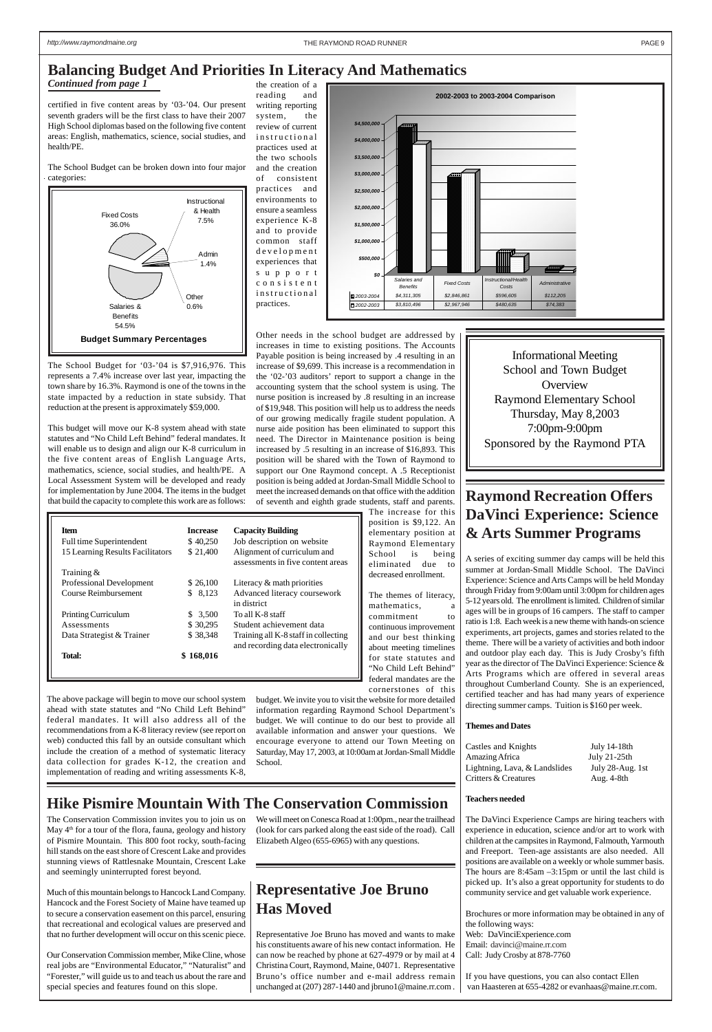

certified in five content areas by '03-'04. Our present seventh graders will be the first class to have their 2007 High School diplomas based on the following five content areas: English, mathematics, science, social studies, and health/PE.

The School Budget can be broken down into four major categories:

The School Budget for '03-'04 is \$7,916,976. This represents a 7.4% increase over last year, impacting the town share by 16.3%. Raymond is one of the towns in the state impacted by a reduction in state subsidy. That reduction at the present is approximately \$59,000.

This budget will move our K-8 system ahead with state statutes and "No Child Left Behind" federal mandates. It will enable us to design and align our K-8 curriculum in the five content areas of English Language Arts, mathematics, science, social studies, and health/PE. A Local Assessment System will be developed and ready for implementation by June 2004. The items in the budget that build the capacity to complete this work are as follows:

the creation of a

reading and writing reporting system, the review of current instructional practices used at the two schools and the creation of consistent practices and environments to ensure a seamless experience K-8 and to provide common staff development experiences that support consistent instructional practices.

Other needs in the school budget are addressed by increases in time to existing positions. The Accounts Payable position is being increased by .4 resulting in an increase of \$9,699. This increase is a recommendation in the '02-'03 auditors' report to support a change in the accounting system that the school system is using. The nurse position is increased by .8 resulting in an increase of \$19,948. This position will help us to address the needs of our growing medically fragile student population. A nurse aide position has been eliminated to support this need. The Director in Maintenance position is being increased by .5 resulting in an increase of \$16,893. This position will be shared with the Town of Raymond to support our One Raymond concept. A .5 Receptionist position is being added at Jordan-Small Middle School to meet the increased demands on that office with the addition of seventh and eighth grade students, staff and parents.

The increase for this position is \$9,122. An elementary position at Raymond Elementary School is being eliminated due to decreased enrollment.

The themes of literacy, mathematics, a commitment to continuous improvement and our best thinking about meeting timelines for state statutes and "No Child Left Behind" federal mandates are the cornerstones of this

budget. We invite you to visit the website for more detailed information regarding Raymond School Department's budget. We will continue to do our best to provide all available information and answer your questions. We encourage everyone to attend our Town Meeting on Saturday, May 17, 2003, at 10:00am at Jordan-Small Middle School.

## **Balancing Budget And Priorities In Literacy And Mathematics**

| <b>Item</b>                      | <b>Increase</b> | <b>Capacity Building</b>                                                  |
|----------------------------------|-----------------|---------------------------------------------------------------------------|
| Full time Superintendent         | \$40,250        | Job description on website                                                |
| 15 Learning Results Facilitators | \$ 21,400       | Alignment of curriculum and<br>assessments in five content areas          |
| Training $\&$                    |                 |                                                                           |
| Professional Development         | \$26,100        | Literacy $&$ math priorities                                              |
| Course Reimbursement             | 8,123<br>S.     | Advanced literacy coursework<br>in district                               |
| Printing Curriculum              | \$3,500         | To all K-8 staff                                                          |
| Assessments                      | \$30,295        | Student achievement data                                                  |
| Data Strategist & Trainer        | \$38,348        | Training all K-8 staff in collecting<br>and recording data electronically |
| Total:                           | 168.016         |                                                                           |



The above package will begin to move our school system ahead with state statutes and "No Child Left Behind" federal mandates. It will also address all of the recommendations from a K-8 literacy review (see report on web) conducted this fall by an outside consultant which include the creation of a method of systematic literacy data collection for grades K-12, the creation and implementation of reading and writing assessments K-8,

*Continued from page 1*

## **Hike Pismire Mountain With The Conservation Commission**

## **Raymond Recreation Offers DaVinci Experience: Science & Arts Summer Programs**

A series of exciting summer day camps will be held this summer at Jordan-Small Middle School. The DaVinci Experience: Science and Arts Camps will be held Monday through Friday from 9:00am until 3:00pm for children ages 5-12 years old. The enrollment is limited. Children of similar ages will be in groups of 16 campers. The staff to camper ratio is 1:8. Each week is a new theme with hands-on science experiments, art projects, games and stories related to the theme. There will be a variety of activities and both indoor and outdoor play each day. This is Judy Crosby's fifth year as the director of The DaVinci Experience: Science & Arts Programs which are offered in several areas throughout Cumberland County. She is an experienced, certified teacher and has had many years of experience directing summer camps. Tuition is \$160 per week.

#### **Themes and Dates**

| Castles and Knights           | July 14-18th     |
|-------------------------------|------------------|
| Amazing Africa                | July 21-25th     |
| Lightning, Lava, & Landslides | July 28-Aug. 1st |
| Critters & Creatures          | Aug. 4-8th       |

#### **Teachers needed**

The DaVinci Experience Camps are hiring teachers with experience in education, science and/or art to work with children at the campsites in Raymond, Falmouth, Yarmouth and Freeport. Teen-age assistants are also needed. All positions are available on a weekly or whole summer basis. The hours are 8:45am –3:15pm or until the last child is picked up. It's also a great opportunity for students to do community service and get valuable work experience.

Brochures or more information may be obtained in any of the following ways: Web: DaVinciExperience.com Email: davinci@maine.rr.com Call: Judy Crosby at 878-7760

If you have questions, you can also contact Ellen van Haasteren at 655-4282 or evanhaas@maine.rr.com.

The Conservation Commission invites you to join us on May 4<sup>th</sup> for a tour of the flora, fauna, geology and history of Pismire Mountain. This 800 foot rocky, south-facing hill stands on the east shore of Crescent Lake and provides stunning views of Rattlesnake Mountain, Crescent Lake and seemingly uninterrupted forest beyond.

Much of this mountain belongs to Hancock Land Company. Hancock and the Forest Society of Maine have teamed up to secure a conservation easement on this parcel, ensuring that recreational and ecological values are preserved and that no further development will occur on this scenic piece.

Our Conservation Commission member, Mike Cline, whose real jobs are "Environmental Educator," "Naturalist" and "Forester," will guide us to and teach us about the rare and special species and features found on this slope.

We will meet on Conesca Road at 1:00pm., near the trailhead (look for cars parked along the east side of the road). Call Elizabeth Algeo (655-6965) with any questions.

Informational Meeting School and Town Budget **Overview** Raymond Elementary School Thursday, May 8,2003 7:00pm-9:00pm Sponsored by the Raymond PTA

## **Representative Joe Bruno Has Moved**

Representative Joe Bruno has moved and wants to make his constituents aware of his new contact information. He can now be reached by phone at 627-4979 or by mail at 4 Christina Court, Raymond, Maine, 04071. Representative Bruno's office number and e-mail address remain unchanged at (207) 287-1440 and jbruno1@maine.rr.com .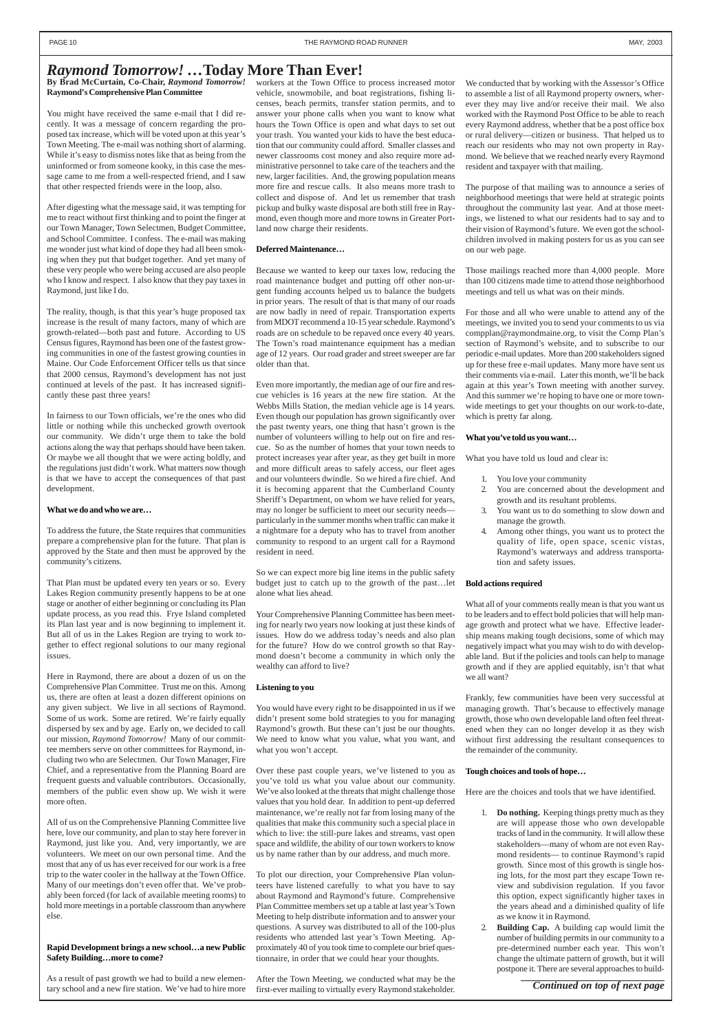#### **By Brad McCurtain, Co-Chair,** *Raymond Tomorrow!* **Raymond's Comprehensive Plan Committee**

You might have received the same e-mail that I did recently. It was a message of concern regarding the proposed tax increase, which will be voted upon at this year's Town Meeting. The e-mail was nothing short of alarming. While it's easy to dismiss notes like that as being from the uninformed or from someone kooky, in this case the message came to me from a well-respected friend, and I saw that other respected friends were in the loop, also.

After digesting what the message said, it was tempting for me to react without first thinking and to point the finger at our Town Manager, Town Selectmen, Budget Committee, and School Committee. I confess. The e-mail was making me wonder just what kind of dope they had all been smoking when they put that budget together. And yet many of these very people who were being accused are also people who I know and respect. I also know that they pay taxes in Raymond, just like I do.

The reality, though, is that this year's huge proposed tax increase is the result of many factors, many of which are growth-related—both past and future. According to US Census figures, Raymond has been one of the fastest growing communities in one of the fastest growing counties in Maine. Our Code Enforcement Officer tells us that since that 2000 census, Raymond's development has not just continued at levels of the past. It has increased significantly these past three years!

In fairness to our Town officials, we're the ones who did little or nothing while this unchecked growth overtook our community. We didn't urge them to take the bold actions along the way that perhaps should have been taken. Or maybe we all thought that we were acting boldly, and the regulations just didn't work. What matters now though is that we have to accept the consequences of that past development.

#### **What we do and who we are…**

To address the future, the State requires that communities prepare a comprehensive plan for the future. That plan is approved by the State and then must be approved by the community's citizens.

That Plan must be updated every ten years or so. Every Lakes Region community presently happens to be at one stage or another of either beginning or concluding its Plan update process, as you read this. Frye Island completed its Plan last year and is now beginning to implement it. But all of us in the Lakes Region are trying to work together to effect regional solutions to our many regional issues.

Here in Raymond, there are about a dozen of us on the Comprehensive Plan Committee. Trust me on this. Among us, there are often at least a dozen different opinions on any given subject. We live in all sections of Raymond. Some of us work. Some are retired. We're fairly equally dispersed by sex and by age. Early on, we decided to call our mission, *Raymond Tomorrow!* Many of our committee members serve on other committees for Raymond, including two who are Selectmen. Our Town Manager, Fire Chief, and a representative from the Planning Board are frequent guests and valuable contributors. Occasionally, members of the public even show up. We wish it were more often.

All of us on the Comprehensive Planning Committee live here, love our community, and plan to stay here forever in Raymond, just like you. And, very importantly, we are volunteers. We meet on our own personal time. And the most that any of us has ever received for our work is a free trip to the water cooler in the hallway at the Town Office. Many of our meetings don't even offer that. We've probably been forced (for lack of available meeting rooms) to hold more meetings in a portable classroom than anywhere else.

#### **Rapid Development brings a new school…a new Public Safety Building…more to come?**

As a result of past growth we had to build a new elementary school and a new fire station. We've had to hire more workers at the Town Office to process increased motor vehicle, snowmobile, and boat registrations, fishing licenses, beach permits, transfer station permits, and to answer your phone calls when you want to know what hours the Town Office is open and what days to set out your trash. You wanted your kids to have the best education that our community could afford. Smaller classes and newer classrooms cost money and also require more administrative personnel to take care of the teachers and the new, larger facilities. And, the growing population means more fire and rescue calls. It also means more trash to collect and dispose of. And let us remember that trash pickup and bulky waste disposal are both still free in Raymond, even though more and more towns in Greater Portland now charge their residents.

#### **Deferred Maintenance…**

Because we wanted to keep our taxes low, reducing the road maintenance budget and putting off other non-urgent funding accounts helped us to balance the budgets in prior years. The result of that is that many of our roads are now badly in need of repair. Transportation experts from MDOT recommend a 10-15 year schedule. Raymond's roads are on schedule to be repaved once every 40 years. The Town's road maintenance equipment has a median age of 12 years. Our road grader and street sweeper are far older than that.

Even more importantly, the median age of our fire and rescue vehicles is 16 years at the new fire station. At the Webbs Mills Station, the median vehicle age is 14 years. Even though our population has grown significantly over the past twenty years, one thing that hasn't grown is the number of volunteers willing to help out on fire and rescue. So as the number of homes that your town needs to protect increases year after year, as they get built in more and more difficult areas to safely access, our fleet ages and our volunteers dwindle. So we hired a fire chief. And it is becoming apparent that the Cumberland County Sheriff's Department, on whom we have relied for years, may no longer be sufficient to meet our security needs particularly in the summer months when traffic can make it a nightmare for a deputy who has to travel from another community to respond to an urgent call for a Raymond resident in need.

So we can expect more big line items in the public safety budget just to catch up to the growth of the past…let alone what lies ahead.

Your Comprehensive Planning Committee has been meeting for nearly two years now looking at just these kinds of issues. How do we address today's needs and also plan for the future? How do we control growth so that Raymond doesn't become a community in which only the wealthy can afford to live?

#### **Listening to you**

You would have every right to be disappointed in us if we didn't present some bold strategies to you for managing Raymond's growth. But these can't just be our thoughts. We need to know what you value, what you want, and what you won't accept.

Over these past couple years, we've listened to you as you've told us what you value about our community. We've also looked at the threats that might challenge those values that you hold dear. In addition to pent-up deferred maintenance, we're really not far from losing many of the qualities that make this community such a special place in which to live: the still-pure lakes and streams, vast open space and wildlife, the ability of our town workers to know us by name rather than by our address, and much more.

To plot our direction, your Comprehensive Plan volunteers have listened carefully to what you have to say about Raymond and Raymond's future. Comprehensive Plan Committee members set up a table at last year's Town Meeting to help distribute information and to answer your questions. A survey was distributed to all of the 100-plus residents who attended last year's Town Meeting. Approximately 40 of you took time to complete our brief questionnaire, in order that we could hear your thoughts.

After the Town Meeting, we conducted what may be the first-ever mailing to virtually every Raymond stakeholder. We conducted that by working with the Assessor's Office to assemble a list of all Raymond property owners, wherever they may live and/or receive their mail. We also worked with the Raymond Post Office to be able to reach every Raymond address, whether that be a post office box or rural delivery—citizen or business. That helped us to reach our residents who may not own property in Raymond. We believe that we reached nearly every Raymond resident and taxpayer with that mailing.

The purpose of that mailing was to announce a series of neighborhood meetings that were held at strategic points throughout the community last year. And at those meetings, we listened to what our residents had to say and to their vision of Raymond's future. We even got the schoolchildren involved in making posters for us as you can see on our web page.

Those mailings reached more than 4,000 people. More than 100 citizens made time to attend those neighborhood meetings and tell us what was on their minds.

For those and all who were unable to attend any of the meetings, we invited you to send your comments to us via compplan@raymondmaine.org, to visit the Comp Plan's section of Raymond's website, and to subscribe to our periodic e-mail updates. More than 200 stakeholders signed up for these free e-mail updates. Many more have sent us their comments via e-mail. Later this month, we'll be back again at this year's Town meeting with another survey. And this summer we're hoping to have one or more townwide meetings to get your thoughts on our work-to-date, which is pretty far along.

#### **What you've told us you want…**

What you have told us loud and clear is:

- 1. You love your community
- 2. You are concerned about the development and growth and its resultant problems.
- You want us to do something to slow down and manage the growth.
- 4. Among other things, you want us to protect the quality of life, open space, scenic vistas, Raymond's waterways and address transportation and safety issues.

#### **Bold actions required**

What all of your comments really mean is that you want us to be leaders and to effect bold policies that will help manage growth and protect what we have. Effective leadership means making tough decisions, some of which may negatively impact what you may wish to do with developable land. But if the policies and tools can help to manage growth and if they are applied equitably, isn't that what we all want?

Frankly, few communities have been very successful at managing growth. That's because to effectively manage growth, those who own developable land often feel threatened when they can no longer develop it as they wish without first addressing the resultant consequences to the remainder of the community.

#### **Tough choices and tools of hope…**

Here are the choices and tools that we have identified.

- 1. **Do nothing.** Keeping things pretty much as they are will appease those who own developable tracks of land in the community. It will allow these stakeholders—many of whom are not even Raymond residents— to continue Raymond's rapid growth. Since most of this growth is single hosing lots, for the most part they escape Town review and subdivision regulation. If you favor this option, expect significantly higher taxes in the years ahead and a diminished quality of life as we know it in Raymond.
- 2. **Building Cap.** A building cap would limit the number of building permits in our community to a pre-determined number each year. This won't change the ultimate pattern of growth, but it will postpone it. There are several approaches to build-

## *Raymond Tomorrow! …***Today More Than Ever!**

*Continued on top of next page*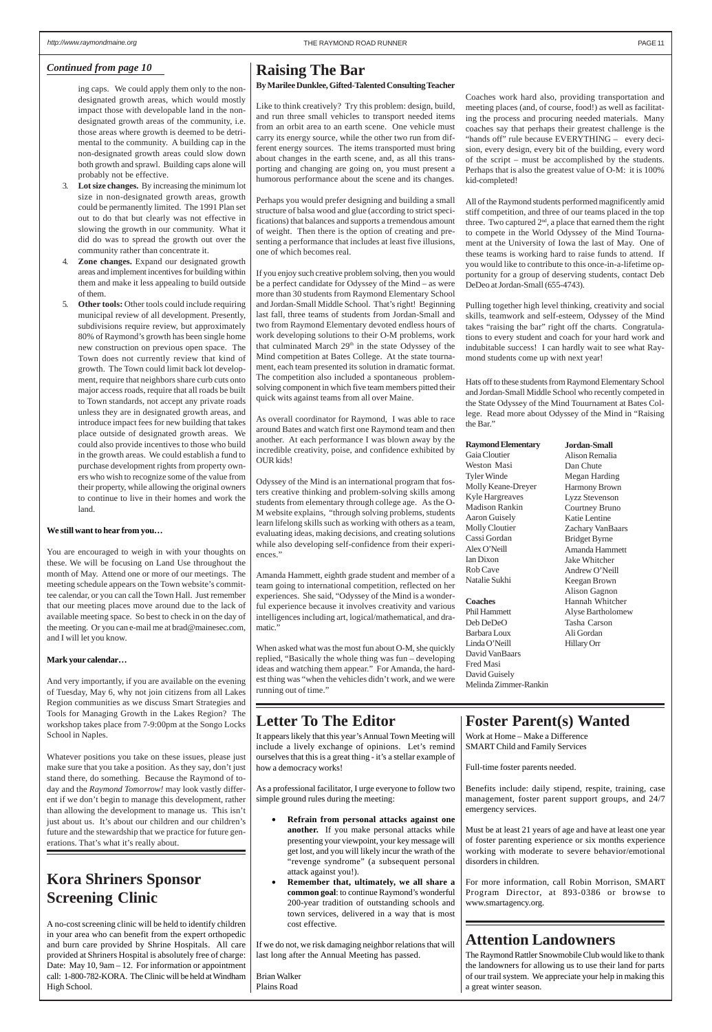ing caps. We could apply them only to the nondesignated growth areas, which would mostly impact those with developable land in the nondesignated growth areas of the community, i.e. those areas where growth is deemed to be detrimental to the community. A building cap in the non-designated growth areas could slow down both growth and sprawl. Building caps alone will probably not be effective.

- 3. **Lot size changes.** By increasing the minimum lot size in non-designated growth areas, growth could be permanently limited. The 1991 Plan set out to do that but clearly was not effective in slowing the growth in our community. What it did do was to spread the growth out over the community rather than concentrate it.
- 4. **Zone changes.** Expand our designated growth areas and implement incentives for building within them and make it less appealing to build outside of them.
- 5. **Other tools:** Other tools could include requiring municipal review of all development. Presently, subdivisions require review, but approximately 80% of Raymond's growth has been single home new construction on previous open space. The Town does not currently review that kind of growth. The Town could limit back lot development, require that neighbors share curb cuts onto major access roads, require that all roads be built to Town standards, not accept any private roads unless they are in designated growth areas, and introduce impact fees for new building that takes place outside of designated growth areas. We could also provide incentives to those who build in the growth areas. We could establish a fund to purchase development rights from property owners who wish to recognize some of the value from their property, while allowing the original owners to continue to live in their homes and work the land.

#### **We still want to hear from you…**

You are encouraged to weigh in with your thoughts on these. We will be focusing on Land Use throughout the month of May. Attend one or more of our meetings. The meeting schedule appears on the Town website's committee calendar, or you can call the Town Hall. Just remember that our meeting places move around due to the lack of available meeting space. So best to check in on the day of the meeting. Or you can e-mail me at brad@mainesec.com, and I will let you know.

#### **Mark your calendar…**

And very importantly, if you are available on the evening of Tuesday, May 6, why not join citizens from all Lakes Region communities as we discuss Smart Strategies and Tools for Managing Growth in the Lakes Region? The workshop takes place from 7-9:00pm at the Songo Locks School in Naples.

Whatever positions you take on these issues, please just make sure that you take a position. As they say, don't just stand there, do something. Because the Raymond of today and the *Raymond Tomorrow!* may look vastly different if we don't begin to manage this development, rather than allowing the development to manage us. This isn't just about us. It's about our children and our children's future and the stewardship that we practice for future generations. That's what it's really about.

## *Continued from page 10* **Raising The Bar**

#### **By Marilee Dunklee, Gifted-Talented Consulting Teacher**

Like to think creatively? Try this problem: design, build, and run three small vehicles to transport needed items from an orbit area to an earth scene. One vehicle must carry its energy source, while the other two run from different energy sources. The items transported must bring about changes in the earth scene, and, as all this transporting and changing are going on, you must present a humorous performance about the scene and its changes.

Perhaps you would prefer designing and building a small structure of balsa wood and glue (according to strict specifications) that balances and supports a tremendous amount of weight. Then there is the option of creating and presenting a performance that includes at least five illusions, one of which becomes real.

If you enjoy such creative problem solving, then you would be a perfect candidate for Odyssey of the Mind – as were more than 30 students from Raymond Elementary School and Jordan-Small Middle School. That's right! Beginning last fall, three teams of students from Jordan-Small and two from Raymond Elementary devoted endless hours of work developing solutions to their O-M problems, work that culminated March 29<sup>th</sup> in the state Odyssey of the Mind competition at Bates College. At the state tournament, each team presented its solution in dramatic format. The competition also included a spontaneous problemsolving component in which five team members pitted their quick wits against teams from all over Maine.

As overall coordinator for Raymond, I was able to race around Bates and watch first one Raymond team and then another. At each performance I was blown away by the incredible creativity, poise, and confidence exhibited by OUR kids!

Odyssey of the Mind is an international program that fosters creative thinking and problem-solving skills among students from elementary through college age. As the O-M website explains, "through solving problems, students learn lifelong skills such as working with others as a team, evaluating ideas, making decisions, and creating solutions while also developing self-confidence from their experiences."

Amanda Hammett, eighth grade student and member of a team going to international competition, reflected on her experiences. She said, "Odyssey of the Mind is a wonderful experience because it involves creativity and various intelligences including art, logical/mathematical, and dramatic."

When asked what was the most fun about O-M, she quickly replied, "Basically the whole thing was fun – developing ideas and watching them appear." For Amanda, the hardest thing was "when the vehicles didn't work, and we were running out of time."

Coaches work hard also, providing transportation and meeting places (and, of course, food!) as well as facilitating the process and procuring needed materials. Many coaches say that perhaps their greatest challenge is the "hands off" rule because EVERYTHING – every decision, every design, every bit of the building, every word of the script – must be accomplished by the students. Perhaps that is also the greatest value of O-M: it is 100% kid-completed!

All of the Raymond students performed magnificently amid stiff competition, and three of our teams placed in the top three. Two captured  $2<sup>nd</sup>$ , a place that earned them the right to compete in the World Odyssey of the Mind Tournament at the University of Iowa the last of May. One of these teams is working hard to raise funds to attend. If you would like to contribute to this once-in-a-lifetime opportunity for a group of deserving students, contact Deb DeDeo at Jordan-Small (655-4743).

Pulling together high level thinking, creativity and social skills, teamwork and self-esteem, Odyssey of the Mind takes "raising the bar" right off the charts. Congratulations to every student and coach for your hard work and indubitable success! I can hardly wait to see what Raymond students come up with next year!

### **Foster Parent(s) Wanted**

Work at Home – Make a Difference SMART Child and Family Services

Full-time foster parents needed.

Benefits include: daily stipend, respite, training, case management, foster parent support groups, and 24/7 emergency services.

Must be at least 21 years of age and have at least one year of foster parenting experience or six months experience working with moderate to severe behavior/emotional disorders in children.

For more information, call Robin Morrison, SMART Program Director, at 893-0386 or browse to www.smartagency.org.

## **Attention Landowners**

The Raymond Rattler Snowmobile Club would like to thank the landowners for allowing us to use their land for parts of our trail system. We appreciate your help in making this a great winter season.

## **Letter To The Editor**

It appears likely that this year's Annual Town Meeting will include a lively exchange of opinions. Let's remind ourselves that this is a great thing - it's a stellar example of how a democracy works!

As a professional facilitator, I urge everyone to follow two simple ground rules during the meeting:

- **Refrain from personal attacks against one another.** If you make personal attacks while presenting your viewpoint, your key message will get lost, and you will likely incur the wrath of the "revenge syndrome" (a subsequent personal attack against you!).
- **Remember that, ultimately, we all share a common goal**: to continue Raymond's wonderful 200-year tradition of outstanding schools and town services, delivered in a way that is most cost effective.

If we do not, we risk damaging neighbor relations that will last long after the Annual Meeting has passed.

Brian Walker Plains Road

Hats off to these students from Raymond Elementary School and Jordan-Small Middle School who recently competed in the State Odyssey of the Mind Touurnament at Bates College. Read more about Odyssey of the Mind in "Raising the Bar."

| <b>Raymond Elementary</b> | <b>Jordan-Small</b>  |
|---------------------------|----------------------|
| Gaia Cloutier             | Alison Remalia       |
| Weston Masi               | Dan Chute            |
| <b>Tyler Winde</b>        | Megan Harding        |
| Molly Keane-Dreyer        | <b>Harmony Brown</b> |
| Kyle Hargreaves           | Lyzz Stevenson       |
| <b>Madison Rankin</b>     | Courtney Bruno       |
| Aaron Guisely             | Katie Lentine        |
| Molly Cloutier            | Zachary VanBaars     |
| Cassi Gordan              | <b>Bridget Byrne</b> |
| Alex O'Neill              | Amanda Hammett       |
| <b>Ian Dixon</b>          | Jake Whitcher        |
| Rob Cave                  | Andrew O'Neill       |
| Natalie Sukhi             | Keegan Brown         |
|                           | Alison Gagnon        |
| <b>Coaches</b>            | Hannah Whitcher      |
| <b>Phil Hammett</b>       | Alyse Bartholomew    |
| Deb DeDeO                 | Tasha Carson         |
| Barbara Loux              | Ali Gordan           |
| Linda O'Neill             | Hillary Orr          |
| David VanBaars            |                      |
| Fred Masi                 |                      |
| David Guisely             |                      |
| Melinda Zimmer-Rankin     |                      |

## **Kora Shriners Sponsor Screening Clinic**

A no-cost screening clinic will be held to identify children in your area who can benefit from the expert orthopedic and burn care provided by Shrine Hospitals. All care provided at Shriners Hospital is absolutely free of charge: Date: May 10, 9am – 12. For information or appointment call: 1-800-782-KORA. The Clinic will be held at Windham High School.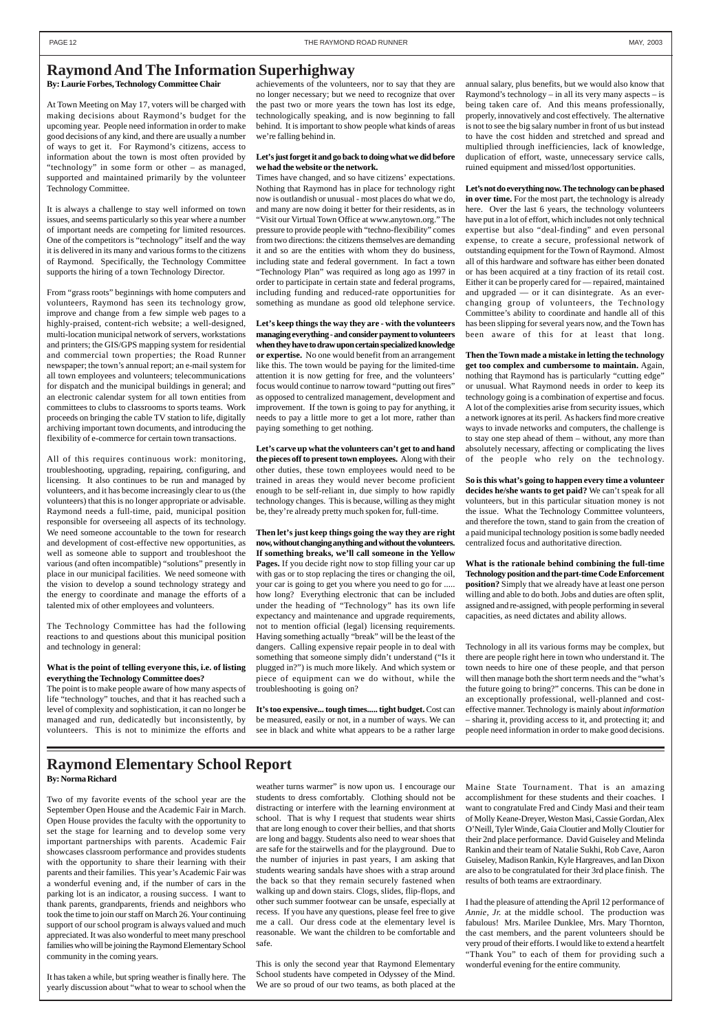#### **By: Laurie Forbes, Technology Committee Chair**

At Town Meeting on May 17, voters will be charged with making decisions about Raymond's budget for the upcoming year. People need information in order to make good decisions of any kind, and there are usually a number of ways to get it. For Raymond's citizens, access to information about the town is most often provided by "technology" in some form or other – as managed, supported and maintained primarily by the volunteer Technology Committee.

It is always a challenge to stay well informed on town issues, and seems particularly so this year where a number of important needs are competing for limited resources. One of the competitors is "technology" itself and the way it is delivered in its many and various forms to the citizens of Raymond. Specifically, the Technology Committee supports the hiring of a town Technology Director.

From "grass roots" beginnings with home computers and volunteers, Raymond has seen its technology grow, improve and change from a few simple web pages to a highly-praised, content-rich website; a well-designed, multi-location municipal network of servers, workstations and printers; the GIS/GPS mapping system for residential and commercial town properties; the Road Runner newspaper; the town's annual report; an e-mail system for all town employees and volunteers; telecommunications for dispatch and the municipal buildings in general; and an electronic calendar system for all town entities from committees to clubs to classrooms to sports teams. Work proceeds on bringing the cable TV station to life, digitally archiving important town documents, and introducing the flexibility of e-commerce for certain town transactions.

All of this requires continuous work: monitoring, troubleshooting, upgrading, repairing, configuring, and licensing. It also continues to be run and managed by volunteers, and it has become increasingly clear to us (the volunteers) that this is no longer appropriate or advisable. Raymond needs a full-time, paid, municipal position responsible for overseeing all aspects of its technology. We need someone accountable to the town for research and development of cost-effective new opportunities, as well as someone able to support and troubleshoot the various (and often incompatible) "solutions" presently in place in our municipal facilities. We need someone with the vision to develop a sound technology strategy and the energy to coordinate and manage the efforts of a talented mix of other employees and volunteers.

The Technology Committee has had the following reactions to and questions about this municipal position and technology in general:

#### **What is the point of telling everyone this, i.e. of listing everything the Technology Committee does?**

The point is to make people aware of how many aspects of life "technology" touches, and that it has reached such a level of complexity and sophistication, it can no longer be managed and run, dedicatedly but inconsistently, by volunteers. This is not to minimize the efforts and

achievements of the volunteers, nor to say that they are no longer necessary; but we need to recognize that over the past two or more years the town has lost its edge, technologically speaking, and is now beginning to fall behind. It is important to show people what kinds of areas we're falling behind in.

#### **Let's just forget it and go back to doing what we did before we had the website or the network.**

Times have changed, and so have citizens' expectations. Nothing that Raymond has in place for technology right now is outlandish or unusual - most places do what we do, and many are now doing it better for their residents, as in "Visit our Virtual Town Office at www.anytown.org." The pressure to provide people with "techno-flexibility" comes from two directions: the citizens themselves are demanding it and so are the entities with whom they do business, including state and federal government. In fact a town "Technology Plan" was required as long ago as 1997 in order to participate in certain state and federal programs, including funding and reduced-rate opportunities for something as mundane as good old telephone service.

**Let's keep things the way they are - with the volunteers managing everything - and consider payment to volunteers when they have to draw upon certain specialized knowledge or expertise.** No one would benefit from an arrangement like this. The town would be paying for the limited-time attention it is now getting for free, and the volunteers' focus would continue to narrow toward "putting out fires" as opposed to centralized management, development and improvement. If the town is going to pay for anything, it needs to pay a little more to get a lot more, rather than paying something to get nothing.

**Let's carve up what the volunteers can't get to and hand the pieces off to present town employees.** Along with their other duties, these town employees would need to be trained in areas they would never become proficient enough to be self-reliant in, due simply to how rapidly technology changes. This is because, willing as they might be, they're already pretty much spoken for, full-time.

**Then let's just keep things going the way they are right now, without changing anything and without the volunteers. If something breaks, we'll call someone in the Yellow Pages.** If you decide right now to stop filling your car up with gas or to stop replacing the tires or changing the oil, your car is going to get you where you need to go for ..... how long? Everything electronic that can be included under the heading of "Technology" has its own life expectancy and maintenance and upgrade requirements, not to mention official (legal) licensing requirements. Having something actually "break" will be the least of the dangers. Calling expensive repair people in to deal with something that someone simply didn't understand ("Is it plugged in?") is much more likely. And which system or piece of equipment can we do without, while the troubleshooting is going on?

weather turns warmer" is now upon us. I encourage our students to dress comfortably. Clothing should not be distracting or interfere with the learning environment at school. That is why I request that students wear shirts that are long enough to cover their bellies, and that shorts are long and baggy. Students also need to wear shoes that are safe for the stairwells and for the playground. Due to the number of injuries in past years, I am asking that students wearing sandals have shoes with a strap around the back so that they remain securely fastened when walking up and down stairs. Clogs, slides, flip-flops, and other such summer footwear can be unsafe, especially at recess. If you have any questions, please feel free to give me a call. Our dress code at the elementary level is reasonable. We want the children to be comfortable and safe.

**It's too expensive... tough times..... tight budget.** Cost can be measured, easily or not, in a number of ways. We can see in black and white what appears to be a rather large annual salary, plus benefits, but we would also know that Raymond's technology – in all its very many aspects – is being taken care of. And this means professionally, properly, innovatively and cost effectively. The alternative is not to see the big salary number in front of us but instead to have the cost hidden and stretched and spread and multiplied through inefficiencies, lack of knowledge, duplication of effort, waste, unnecessary service calls, ruined equipment and missed/lost opportunities.

**Let's not do everything now. The technology can be phased in over time.** For the most part, the technology is already here. Over the last 6 years, the technology volunteers have put in a lot of effort, which includes not only technical expertise but also "deal-finding" and even personal expense, to create a secure, professional network of outstanding equipment for the Town of Raymond. Almost all of this hardware and software has either been donated or has been acquired at a tiny fraction of its retail cost. Either it can be properly cared for — repaired, maintained and upgraded — or it can disintegrate. As an everchanging group of volunteers, the Technology Committee's ability to coordinate and handle all of this has been slipping for several years now, and the Town has been aware of this for at least that long.

**Then the Town made a mistake in letting the technology get too complex and cumbersome to maintain.** Again, nothing that Raymond has is particularly "cutting edge" or unusual. What Raymond needs in order to keep its technology going is a combination of expertise and focus. A lot of the complexities arise from security issues, which a network ignores at its peril. As hackers find more creative ways to invade networks and computers, the challenge is to stay one step ahead of them – without, any more than absolutely necessary, affecting or complicating the lives of the people who rely on the technology.

**So is this what's going to happen every time a volunteer decides he/she wants to get paid?** We can't speak for all volunteers, but in this particular situation money is not the issue. What the Technology Committee volunteers, and therefore the town, stand to gain from the creation of a paid municipal technology position is some badly needed centralized focus and authoritative direction.

**What is the rationale behind combining the full-time Technology position and the part-time Code Enforcement position?** Simply that we already have at least one person willing and able to do both. Jobs and duties are often split, assigned and re-assigned, with people performing in several capacities, as need dictates and ability allows.

Technology in all its various forms may be complex, but there are people right here in town who understand it. The town needs to hire one of these people, and that person will then manage both the short term needs and the "what's the future going to bring?" concerns. This can be done in an exceptionally professional, well-planned and costeffective manner. Technology is mainly about *information* – sharing it, providing access to it, and protecting it; and people need information in order to make good decisions.

### **Raymond And The Information Superhighway**

Two of my favorite events of the school year are the September Open House and the Academic Fair in March. Open House provides the faculty with the opportunity to set the stage for learning and to develop some very important partnerships with parents. Academic Fair showcases classroom performance and provides students with the opportunity to share their learning with their parents and their families. This year's Academic Fair was a wonderful evening and, if the number of cars in the parking lot is an indicator, a rousing success. I want to thank parents, grandparents, friends and neighbors who took the time to join our staff on March 26. Your continuing support of our school program is always valued and much appreciated. It was also wonderful to meet many preschool families who will be joining the Raymond Elementary School community in the coming years.

It has taken a while, but spring weather is finally here. The yearly discussion about "what to wear to school when the

**By: Norma Richard Raymond Elementary School Report**

This is only the second year that Raymond Elementary School students have competed in Odyssey of the Mind. We are so proud of our two teams, as both placed at the Maine State Tournament. That is an amazing accomplishment for these students and their coaches. I want to congratulate Fred and Cindy Masi and their team of Molly Keane-Dreyer, Weston Masi, Cassie Gordan, Alex O'Neill, Tyler Winde, Gaia Cloutier and Molly Cloutier for their 2nd place performance. David Guiseley and Melinda Rankin and their team of Natalie Sukhi, Rob Cave, Aaron Guiseley, Madison Rankin, Kyle Hargreaves, and Ian Dixon are also to be congratulated for their 3rd place finish. The results of both teams are extraordinary.

I had the pleasure of attending the April 12 performance of *Annie, Jr.* at the middle school. The production was fabulous! Mrs. Marilee Dunklee, Mrs. Mary Thornton, the cast members, and the parent volunteers should be very proud of their efforts. I would like to extend a heartfelt "Thank You" to each of them for providing such a wonderful evening for the entire community.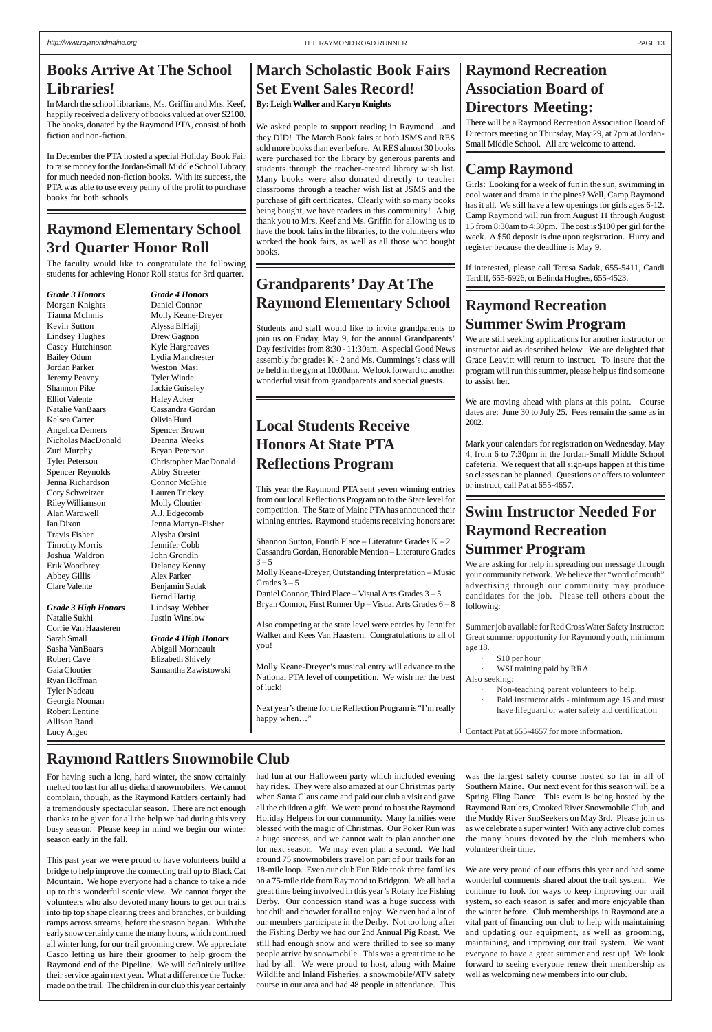## **Raymond Recreation Association Board of Directors Meeting:**

There will be a Raymond Recreation Association Board of Directors meeting on Thursday, May 29, at 7pm at Jordan-Small Middle School. All are welcome to attend.

## **Camp Raymond**

Girls: Looking for a week of fun in the sun, swimming in cool water and drama in the pines? Well, Camp Raymond has it all. We still have a few openings for girls ages 6-12. Camp Raymond will run from August 11 through August 15 from 8:30am to 4:30pm. The cost is \$100 per girl for the week. A \$50 deposit is due upon registration. Hurry and register because the deadline is May 9.

If interested, please call Teresa Sadak, 655-5411, Candi Tardiff, 655-6926, or Belinda Hughes, 655-4523.

## **Raymond Recreation Summer Swim Program**

We are still seeking applications for another instructor or instructor aid as described below. We are delighted that Grace Leavitt will return to instruct. To insure that the program will run this summer, please help us find someone to assist her.

We are moving ahead with plans at this point. Course dates are: June 30 to July 25. Fees remain the same as in 2002.

Mark your calendars for registration on Wednesday, May 4, from 6 to 7:30pm in the Jordan-Small Middle School cafeteria. We request that all sign-ups happen at this time so classes can be planned. Questions or offers to volunteer or instruct, call Pat at 655-4657.

## **Swim Instructor Needed For Raymond Recreation Summer Program**

We are asking for help in spreading our message through your community network. We believe that "word of mouth" advertising through our community may produce candidates for the job. Please tell others about the following:

Summer job available for Red Cross Water Safety Instructor: Great summer opportunity for Raymond youth, minimum age 18.

- · \$10 per hour
- WSI training paid by RRA
- Also seeking:
	- Non-teaching parent volunteers to help.
	- Paid instructor aids minimum age 16 and must have lifeguard or water safety aid certification

Contact Pat at 655-4657 for more information.

## **Books Arrive At The School Libraries!**

In March the school librarians, Ms. Griffin and Mrs. Keef, happily received a delivery of books valued at over \$2100. The books, donated by the Raymond PTA, consist of both fiction and non-fiction.

In December the PTA hosted a special Holiday Book Fair to raise money for the Jordan-Small Middle School Library for much needed non-fiction books. With its success, the PTA was able to use every penny of the profit to purchase books for both schools.

## **March Scholastic Book Fairs Set Event Sales Record! By: Leigh Walker and Karyn Knights**

Shannon Sutton, Fourth Place – Literature Grades  $K - 2$ Cassandra Gordan, Honorable Mention – Literature Grades  $3 - 5$ Molly Keane-Dreyer, Outstanding Interpretation – Music Grades  $3-5$ Daniel Connor, Third Place – Visual Arts Grades 3 – 5 Bryan Connor, First Runner Up – Visual Arts Grades 6 – 8 Also competing at the state level were entries by Jennifer Walker and Kees Van Haastern. Congratulations to all of you!

We asked people to support reading in Raymond…and they DID! The March Book fairs at both JSMS and RES sold more books than ever before. At RES almost 30 books were purchased for the library by generous parents and students through the teacher-created library wish list. Many books were also donated directly to teacher classrooms through a teacher wish list at JSMS and the purchase of gift certificates. Clearly with so many books being bought, we have readers in this community! A big thank you to Mrs. Keef and Ms. Griffin for allowing us to have the book fairs in the libraries, to the volunteers who worked the book fairs, as well as all those who bought books.

## **Grandparents' Day At The Raymond Elementary School**

Students and staff would like to invite grandparents to join us on Friday, May 9, for the annual Grandparents' Day festivities from 8:30 - 11:30am. A special Good News assembly for grades K - 2 and Ms. Cummings's class will be held in the gym at 10:00am. We look forward to another wonderful visit from grandparents and special guests.

## **Raymond Elementary School 3rd Quarter Honor Roll**

The faculty would like to congratulate the following students for achieving Honor Roll status for 3rd quarter.

*Grade 3 Honors* Morgan Knights Tianna McInnis Kevin Sutton Lindsey Hughes Casey Hutchinson Bailey Odum Jordan Parker Jeremy Peavey Shannon Pike Elliot Valente Natalie VanBaars Kelsea Carter Angelica Demers Nicholas MacDonald Zuri Murphy Tyler Peterson Spencer Reynolds Jenna Richardson Cory Schweitzer Riley Williamson Alan Wardwell Ian Dixon Travis Fisher Timothy Morris Joshua Waldron Erik Woodbrey Abbey Gillis Clare Valente

#### *Grade 3 High Honors*

Natalie Sukhi Corrie Van Haasteren Sarah Small Sasha VanBaars Robert Cave Gaia Cloutier Ryan Hoffman Tyler Nadeau Georgia Noonan Robert Lentine Allison Rand Lucy Algeo

*Grade 4 Honors* Daniel Connor Molly Keane-Dreyer Alyssa ElHajij Drew Gagnon Kyle Hargreaves Lydia Manchester Weston Masi Tyler Winde Jackie Guiseley Haley Acker Cassandra Gordan Olivia Hurd Spencer Brown Deanna Weeks Bryan Peterson Christopher MacDonald Abby Streeter Connor McGhie Lauren Trickey Molly Cloutier A.J. Edgecomb Jenna Martyn-Fisher Alysha Orsini Jennifer Cobb John Grondin Delaney Kenny Alex Parker Benjamin Sadak Bernd Hartig Lindsay Webber Justin Winslow

*Grade 4 High Honors* Abigail Morneault Elizabeth Shively Samantha Zawistowski

## **Local Students Receive Honors At State PTA Reflections Program**

This year the Raymond PTA sent seven winning entries from our local Reflections Program on to the State level for competition. The State of Maine PTA has announced their winning entries. Raymond students receiving honors are:

Molly Keane-Dreyer's musical entry will advance to the National PTA level of competition. We wish her the best of luck!

Next year's theme for the Reflection Program is "I'm really happy when…"

melted too fast for all us diehard snowmobilers. We cannot complain, though, as the Raymond Rattlers certainly had a tremendously spectacular season. There are not enough thanks to be given for all the help we had during this very busy season. Please keep in mind we begin our winter season early in the fall.

This past year we were proud to have volunteers build a bridge to help improve the connecting trail up to Black Cat Mountain. We hope everyone had a chance to take a ride up to this wonderful scenic view. We cannot forget the volunteers who also devoted many hours to get our trails into tip top shape clearing trees and branches, or building ramps across streams, before the season began. With the early snow certainly came the many hours, which continued all winter long, for our trail grooming crew. We appreciate Casco letting us hire their groomer to help groom the Raymond end of the Pipeline. We will definitely utilize their service again next year. What a difference the Tucker made on the trail. The children in our club this year certainly

For having such a long, hard winter, the snow certainly had fun at our Halloween party which included evening was the largest safety course hosted so far in all of

> hay rides. They were also amazed at our Christmas party when Santa Claus came and paid our club a visit and gave all the children a gift. We were proud to host the Raymond Holiday Helpers for our community. Many families were blessed with the magic of Christmas. Our Poker Run was a huge success, and we cannot wait to plan another one for next season. We may even plan a second. We had around 75 snowmobilers travel on part of our trails for an 18-mile loop. Even our club Fun Ride took three families on a 75-mile ride from Raymond to Bridgton. We all had a great time being involved in this year's Rotary Ice Fishing Derby. Our concession stand was a huge success with hot chili and chowder for all to enjoy. We even had a lot of our members participate in the Derby. Not too long after the Fishing Derby we had our 2nd Annual Pig Roast. We still had enough snow and were thrilled to see so many people arrive by snowmobile. This was a great time to be had by all. We were proud to host, along with Maine Wildlife and Inland Fisheries, a snowmobile/ATV safety course in our area and had 48 people in attendance. This

Southern Maine. Our next event for this season will be a Spring Fling Dance. This event is being hosted by the Raymond Rattlers, Crooked River Snowmobile Club, and the Muddy River SnoSeekers on May 3rd. Please join us as we celebrate a super winter! With any active club comes the many hours devoted by the club members who volunteer their time.

We are very proud of our efforts this year and had some wonderful comments shared about the trail system. We continue to look for ways to keep improving our trail system, so each season is safer and more enjoyable than the winter before. Club memberships in Raymond are a vital part of financing our club to help with maintaining and updating our equipment, as well as grooming, maintaining, and improving our trail system. We want everyone to have a great summer and rest up! We look forward to seeing everyone renew their membership as well as welcoming new members into our club.

## **Raymond Rattlers Snowmobile Club**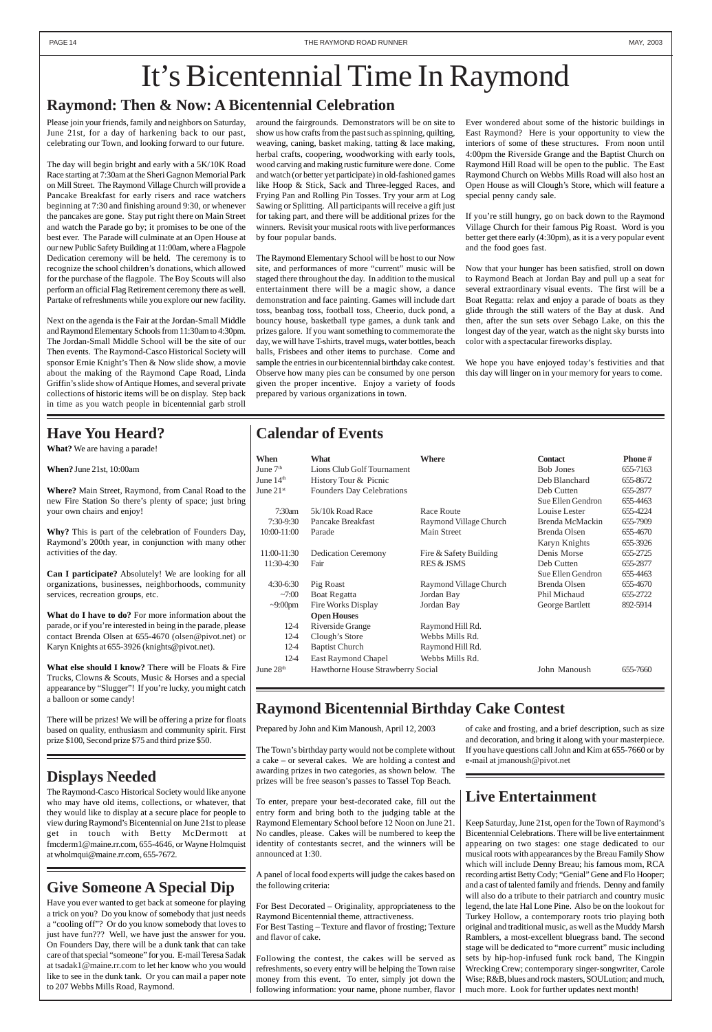## **Calendar of Events**

| When                  | What                              | <b>Where</b>           | <b>Contact</b>    | Phone#   |
|-----------------------|-----------------------------------|------------------------|-------------------|----------|
| June $7th$            | Lions Club Golf Tournament        |                        | <b>Bob Jones</b>  | 655-7163 |
| June $14th$           | History Tour & Picnic             |                        | Deb Blanchard     | 655-8672 |
| June $21st$           | <b>Founders Day Celebrations</b>  |                        | Deb Cutten        | 655-2877 |
|                       |                                   |                        | Sue Ellen Gendron | 655-4463 |
| 7:30am                | 5k/10k Road Race                  | Race Route             | Louise Lester     | 655-4224 |
| $7:30-9:30$           | Pancake Breakfast                 | Raymond Village Church | Brenda McMackin   | 655-7909 |
| $10:00 - 11:00$       | Parade                            | Main Street            | Brenda Olsen      | 655-4670 |
|                       |                                   |                        | Karyn Knights     | 655-3926 |
| 11:00-11:30           | <b>Dedication Ceremony</b>        | Fire & Safety Building | Denis Morse       | 655-2725 |
| 11:30-4:30            | Fair                              | <b>RES &amp; JSMS</b>  | Deb Cutten        | 655-2877 |
|                       |                                   |                        | Sue Ellen Gendron | 655-4463 |
| $4:30-6:30$           | Pig Roast                         | Raymond Village Church | Brenda Olsen      | 655-4670 |
| $-7:00$               | Boat Regatta                      | Jordan Bay             | Phil Michaud      | 655-2722 |
| $\sim 9:00 \text{pm}$ | Fire Works Display                | Jordan Bay             | George Bartlett   | 892-5914 |
|                       | <b>Open Houses</b>                |                        |                   |          |
| $12-4$                | Riverside Grange                  | Raymond Hill Rd.       |                   |          |
| $12 - 4$              | Clough's Store                    | Webbs Mills Rd.        |                   |          |
| $12 - 4$              | <b>Baptist Church</b>             | Raymond Hill Rd.       |                   |          |
| $12-4$                | East Raymond Chapel               | Webbs Mills Rd.        |                   |          |
| June $28th$           | Hawthorne House Strawberry Social |                        | John Manoush      | 655-7660 |

## **Give Someone A Special Dip**

Have you ever wanted to get back at someone for playing a trick on you? Do you know of somebody that just needs a "cooling off"? Or do you know somebody that loves to just have fun??? Well, we have just the answer for you. On Founders Day, there will be a dunk tank that can take care of that special "someone" for you. E-mail Teresa Sadak at tsadak1@maine.rr.com to let her know who you would like to see in the dunk tank. Or you can mail a paper note to 207 Webbs Mills Road, Raymond.

## **Live Entertainment**

Keep Saturday, June 21st, open for the Town of Raymond's Bicentennial Celebrations. There will be live entertainment appearing on two stages: one stage dedicated to our musical roots with appearances by the Breau Family Show which will include Denny Breau; his famous mom, RCA recording artist Betty Cody; "Genial" Gene and Flo Hooper; and a cast of talented family and friends. Denny and family will also do a tribute to their patriarch and country music legend, the late Hal Lone Pine. Also be on the lookout for Turkey Hollow, a contemporary roots trio playing both original and traditional music, as well as the Muddy Marsh Ramblers, a most-excellent bluegrass band. The second stage will be dedicated to "more current" music including sets by hip-hop-infused funk rock band, The Kingpin Wrecking Crew; contemporary singer-songwriter, Carole Wise; R&B, blues and rock masters, SOULution; and much, much more. Look for further updates next month!

## **Raymond: Then & Now: A Bicentennial Celebration**

# It's Bicentennial Time In Raymond

Please join your friends, family and neighbors on Saturday, June 21st, for a day of harkening back to our past, celebrating our Town, and looking forward to our future.

The day will begin bright and early with a 5K/10K Road Race starting at 7:30am at the Sheri Gagnon Memorial Park on Mill Street. The Raymond Village Church will provide a Pancake Breakfast for early risers and race watchers beginning at 7:30 and finishing around 9:30, or whenever the pancakes are gone. Stay put right there on Main Street and watch the Parade go by; it promises to be one of the best ever. The Parade will culminate at an Open House at our new Public Safety Building at 11:00am, where a Flagpole Dedication ceremony will be held. The ceremony is to recognize the school children's donations, which allowed for the purchase of the flagpole. The Boy Scouts will also perform an official Flag Retirement ceremony there as well. Partake of refreshments while you explore our new facility.

> The Town's birthday party would not be complete without a cake – or several cakes. We are holding a contest and awarding prizes in two categories, as shown below. The prizes will be free season's passes to Tassel Top Be

Next on the agenda is the Fair at the Jordan-Small Middle and Raymond Elementary Schools from 11:30am to 4:30pm. The Jordan-Small Middle School will be the site of our Then events. The Raymond-Casco Historical Society will sponsor Ernie Knight's Then & Now slide show, a movie about the making of the Raymond Cape Road, Linda Griffin's slide show of Antique Homes, and several private collections of historic items will be on display. Step back in time as you watch people in bicentennial garb stroll around the fairgrounds. Demonstrators will be on site to show us how crafts from the past such as spinning, quilting, weaving, caning, basket making, tatting & lace making, herbal crafts, coopering, woodworking with early tools, wood carving and making rustic furniture were done. Come and watch (or better yet participate) in old-fashioned games like Hoop & Stick, Sack and Three-legged Races, and Frying Pan and Rolling Pin Tosses. Try your arm at Log Sawing or Splitting. All participants will receive a gift just for taking part, and there will be additional prizes for the winners. Revisit your musical roots with live performances by four popular bands.

The Raymond Elementary School will be host to our Now site, and performances of more "current" music will be staged there throughout the day. In addition to the musical entertainment there will be a magic show, a dance demonstration and face painting. Games will include dart toss, beanbag toss, football toss, Cheerio, duck pond, a bouncy house, basketball type games, a dunk tank and prizes galore. If you want something to commemorate the day, we will have T-shirts, travel mugs, water bottles, beach balls, Frisbees and other items to purchase. Come and sample the entries in our bicentennial birthday cake contest. Observe how many pies can be consumed by one person given the proper incentive. Enjoy a variety of foods prepared by various organizations in town.

Ever wondered about some of the historic buildings in East Raymond? Here is your opportunity to view the interiors of some of these structures. From noon until 4:00pm the Riverside Grange and the Baptist Church on Raymond Hill Road will be open to the public. The East Raymond Church on Webbs Mills Road will also host an Open House as will Clough's Store, which will feature a special penny candy sale.

If you're still hungry, go on back down to the Raymond Village Church for their famous Pig Roast. Word is you better get there early (4:30pm), as it is a very popular event and the food goes fast.

Now that your hunger has been satisfied, stroll on down to Raymond Beach at Jordan Bay and pull up a seat for several extraordinary visual events. The first will be a Boat Regatta: relax and enjoy a parade of boats as they glide through the still waters of the Bay at dusk. And then, after the sun sets over Sebago Lake, on this the longest day of the year, watch as the night sky bursts into color with a spectacular fireworks display.

We hope you have enjoyed today's festivities and that this day will linger on in your memory for years to come.

## **Raymond Bicentennial Birthday Cake Contest**

Prepared by John and Kim Manoush, April 12, 2003

To enter, prepare your best-decorated cake, fill out the entry form and bring both to the judging table at the Raymond Elementary School before 12 Noon on June 21. No candles, please. Cakes will be numbered to keep the identity of contestants secret, and the winners will be announced at 1:30.

A panel of local food experts will judge the cakes based on the following criteria:

For Best Decorated – Originality, appropriateness to the Raymond Bicentennial theme, attractiveness. For Best Tasting – Texture and flavor of frosting; Texture and flavor of cake.

Following the contest, the cakes will be served as refreshments, so every entry will be helping the Town raise money from this event. To enter, simply jot down the following information: your name, phone number, flavor

of cake and frosting, and a brief description, such as size and decoration, and bring it along with your masterpiece. If you have questions call John and Kim at 655-7660 or by e-mail at jmanoush@pivot.net

## **Have You Heard?**

**What?** We are having a parade!

**When?** June 21st, 10:00am

**Where?** Main Street, Raymond, from Canal Road to the new Fire Station So there's plenty of space; just bring your own chairs and enjoy!

**Why?** This is part of the celebration of Founders Day, Raymond's 200th year, in conjunction with many other activities of the day.

**Can I participate?** Absolutely! We are looking for all organizations, businesses, neighborhoods, community services, recreation groups, etc.

**What do I have to do?** For more information about the parade, or if you're interested in being in the parade, please contact Brenda Olsen at 655-4670 (olsen@pivot.net) or Karyn Knights at 655-3926 (knights@pivot.net).

**What else should I know?** There will be Floats & Fire Trucks, Clowns & Scouts, Music & Horses and a special appearance by "Slugger"! If you're lucky, you might catch a balloon or some candy!

There will be prizes! We will be offering a prize for floats based on quality, enthusiasm and community spirit. First prize \$100, Second prize \$75 and third prize \$50.

## **Displays Needed**

The Raymond-Casco Historical Society would like anyone who may have old items, collections, or whatever, that they would like to display at a secure place for people to view during Raymond's Bicentennial on June 21st to please get in touch with Betty McDermott at fmcderm1@maine.rr.com, 655-4646, or Wayne Holmquist at wholmqui@maine.rr.com, 655-7672.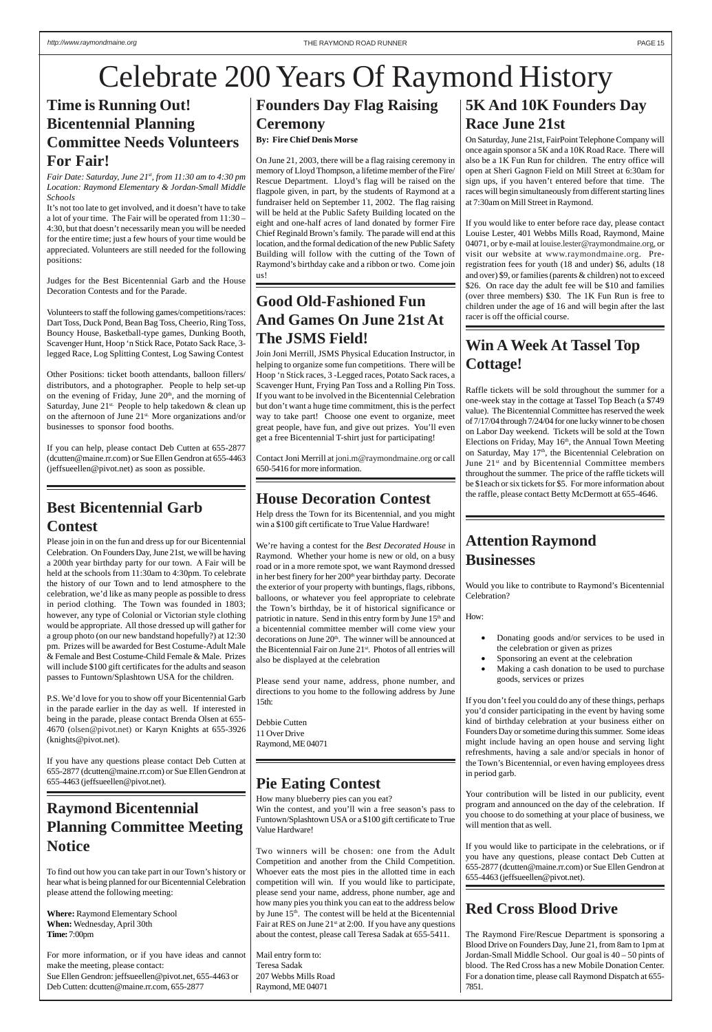## **Attention Raymond Businesses**

Would you like to contribute to Raymond's Bicentennial Celebration?

How:

- Donating goods and/or services to be used in the celebration or given as prizes
- Sponsoring an event at the celebration
- Making a cash donation to be used to purchase goods, services or prizes

If you don't feel you could do any of these things, perhaps you'd consider participating in the event by having some kind of birthday celebration at your business either on Founders Day or sometime during this summer. Some ideas might include having an open house and serving light refreshments, having a sale and/or specials in honor of the Town's Bicentennial, or even having employees dress in period garb.

Your contribution will be listed in our publicity, event program and announced on the day of the celebration. If you choose to do something at your place of business, we will mention that as well.

If you would like to participate in the celebrations, or if you have any questions, please contact Deb Cutten at 655-2877 (dcutten@maine.rr.com) or Sue Ellen Gendron at 655-4463 (jeffsueellen@pivot.net).

## **Time is Running Out! Bicentennial Planning Committee Needs Volunteers For Fair!**

*Fair Date: Saturday, June 21st, from 11:30 am to 4:30 pm Location: Raymond Elementary & Jordan-Small Middle Schools*

It's not too late to get involved, and it doesn't have to take a lot of your time. The Fair will be operated from 11:30 – 4:30, but that doesn't necessarily mean you will be needed for the entire time; just a few hours of your time would be appreciated. Volunteers are still needed for the following positions:

Judges for the Best Bicentennial Garb and the House Decoration Contests and for the Parade.

Volunteers to staff the following games/competitions/races: Dart Toss, Duck Pond, Bean Bag Toss, Cheerio, Ring Toss, Bouncy House, Basketball-type games, Dunking Booth, Scavenger Hunt, Hoop 'n Stick Race, Potato Sack Race, 3 legged Race, Log Splitting Contest, Log Sawing Contest

Other Positions: ticket booth attendants, balloon fillers/ distributors, and a photographer. People to help set-up on the evening of Friday, June  $20<sup>th</sup>$ , and the morning of Saturday, June  $21^{st}$ . People to help takedown & clean up on the afternoon of June 21st. More organizations and/or businesses to sponsor food booths.

If you can help, please contact Deb Cutten at 655-2877 (dcutten@maine.rr.com) or Sue Ellen Gendron at 655-4463 (jeffsueellen@pivot.net) as soon as possible.

## **Founders Day Flag Raising Ceremony By: Fire Chief Denis Morse**

On June 21, 2003, there will be a flag raising ceremony in memory of Lloyd Thompson, a lifetime member of the Fire/ Rescue Department. Lloyd's flag will be raised on the flagpole given, in part, by the students of Raymond at a fundraiser held on September 11, 2002. The flag raising will be held at the Public Safety Building located on the eight and one-half acres of land donated by former Fire Chief Reginald Brown's family. The parade will end at this location, and the formal dedication of the new Public Safety Building will follow with the cutting of the Town of Raymond's birthday cake and a ribbon or two. Come join us!

## **Good Old-Fashioned Fun And Games On June 21st At The JSMS Field!**

Join Joni Merrill, JSMS Physical Education Instructor, in helping to organize some fun competitions. There will be Hoop 'n Stick races, 3 -Legged races, Potato Sack races, a Scavenger Hunt, Frying Pan Toss and a Rolling Pin Toss. If you want to be involved in the Bicentennial Celebration but don't want a huge time commitment, this is the perfect way to take part! Choose one event to organize, meet great people, have fun, and give out prizes. You'll even get a free Bicentennial T-shirt just for participating!

Contact Joni Merrill at joni.m@raymondmaine.org or call 650-5416 for more information.

## **Best Bicentennial Garb Contest**

Please join in on the fun and dress up for our Bicentennial Celebration. On Founders Day, June 21st, we will be having a 200th year birthday party for our town. A Fair will be held at the schools from 11:30am to 4:30pm. To celebrate the history of our Town and to lend atmosphere to the celebration, we'd like as many people as possible to dress in period clothing. The Town was founded in 1803; however, any type of Colonial or Victorian style clothing would be appropriate. All those dressed up will gather for a group photo (on our new bandstand hopefully?) at 12:30 pm. Prizes will be awarded for Best Costume-Adult Male & Female and Best Costume-Child Female & Male. Prizes will include \$100 gift certificates for the adults and season passes to Funtown/Splashtown USA for the children.

P.S. We'd love for you to show off your Bicentennial Garb in the parade earlier in the day as well. If interested in being in the parade, please contact Brenda Olsen at 655- 4670 (olsen@pivot.net) or Karyn Knights at 655-3926 (knights@pivot.net).

If you have any questions please contact Deb Cutten at 655-2877 (dcutten@maine.rr.com) or Sue Ellen Gendron at

655-4463 (jeffsueellen@pivot.net).

## **House Decoration Contest**

Help dress the Town for its Bicentennial, and you might win a \$100 gift certificate to True Value Hardware!

We're having a contest for the *Best Decorated House* in Raymond. Whether your home is new or old, on a busy road or in a more remote spot, we want Raymond dressed in her best finery for her 200<sup>th</sup> year birthday party. Decorate the exterior of your property with buntings, flags, ribbons, balloons, or whatever you feel appropriate to celebrate the Town's birthday, be it of historical significance or patriotic in nature. Send in this entry form by June 15<sup>th</sup> and a bicentennial committee member will come view your decorations on June 20<sup>th</sup>. The winner will be announced at the Bicentennial Fair on June 21st. Photos of all entries will also be displayed at the celebration

Please send your name, address, phone number, and directions to you home to the following address by June 15th:

Debbie Cutten 11 Over Drive Raymond, ME 04071

## **Raymond Bicentennial Planning Committee Meeting Notice**

To find out how you can take part in our Town's history or hear what is being planned for our Bicentennial Celebration please attend the following meeting:

**Where:** Raymond Elementary School **When:** Wednesday, April 30th **Time:** 7:00pm

For more information, or if you have ideas and cannot make the meeting, please contact: Sue Ellen Gendron: jeffsueellen@pivot.net, 655-4463 or Deb Cutten: dcutten@maine.rr.com, 655-2877

## **Red Cross Blood Drive**

The Raymond Fire/Rescue Department is sponsoring a Blood Drive on Founders Day, June 21, from 8am to 1pm at Jordan-Small Middle School. Our goal is 40 – 50 pints of blood. The Red Cross has a new Mobile Donation Center. For a donation time, please call Raymond Dispatch at 655- 7851.

## **5K And 10K Founders Day Race June 21st**

On Saturday, June 21st, FairPoint Telephone Company will once again sponsor a 5K and a 10K Road Race. There will also be a 1K Fun Run for children. The entry office will open at Sheri Gagnon Field on Mill Street at 6:30am for sign ups, if you haven't entered before that time. The races will begin simultaneously from different starting lines at 7:30am on Mill Street in Raymond.

If you would like to enter before race day, please contact Louise Lester, 401 Webbs Mills Road, Raymond, Maine 04071, or by e-mail at louise.lester@raymondmaine.org, or visit our website at www.raymondmaine.org. Preregistration fees for youth (18 and under) \$6, adults (18 and over) \$9, or families (parents & children) not to exceed \$26. On race day the adult fee will be \$10 and families (over three members) \$30. The 1K Fun Run is free to children under the age of 16 and will begin after the last racer is off the official course.

## **Win A Week At Tassel Top Cottage!**

Raffle tickets will be sold throughout the summer for a one-week stay in the cottage at Tassel Top Beach (a \$749 value). The Bicentennial Committee has reserved the week of 7/17/04 through 7/24/04 for one lucky winner to be chosen on Labor Day weekend. Tickets will be sold at the Town Elections on Friday, May 16<sup>th</sup>, the Annual Town Meeting on Saturday, May 17<sup>th</sup>, the Bicentennial Celebration on June 21<sup>st</sup> and by Bicentennial Committee members throughout the summer. The price of the raffle tickets will be \$1each or six tickets for \$5. For more information about the raffle, please contact Betty McDermott at 655-4646.

# Celebrate 200 Years Of Raymond History

## **Pie Eating Contest**

How many blueberry pies can you eat? Win the contest, and you'll win a free season's pass to Funtown/Splashtown USA or a \$100 gift certificate to True Value Hardware!

Two winners will be chosen: one from the Adult Competition and another from the Child Competition. Whoever eats the most pies in the allotted time in each competition will win. If you would like to participate, please send your name, address, phone number, age and how many pies you think you can eat to the address below by June 15<sup>th</sup>. The contest will be held at the Bicentennial Fair at RES on June 21<sup>st</sup> at 2:00. If you have any questions about the contest, please call Teresa Sadak at 655-5411.

Mail entry form to: Teresa Sadak 207 Webbs Mills Road Raymond, ME 04071